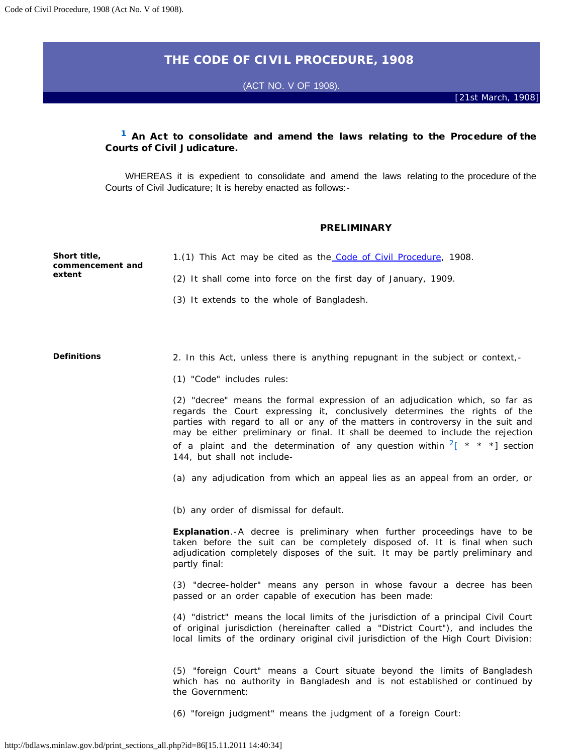# **THE CODE OF CIVIL PROCEDURE, 1908**

(ACT NO. V OF 1908).

 [*21st March, 1908*]

# Courts of Civil Judicature. **[1](http://bdlaws.minlaw.gov.bd/print_sections.php?id=86§ions_id=10000000)** An Act to consolidate and amend the laws relating to the Procedure of the

WHEREAS it is expedient to consolidate and amend the laws relating to the procedure of the Courts of Civil Judicature; It is hereby enacted as follows:

## PRELIMINARY

| Short title,<br>commencement and | 1.(1) This Act may be cited as the Code of Civil Procedure, 1908.                                                                                                                                                                                                                                                                                                                                                                                                                              |  |  |  |  |  |  |
|----------------------------------|------------------------------------------------------------------------------------------------------------------------------------------------------------------------------------------------------------------------------------------------------------------------------------------------------------------------------------------------------------------------------------------------------------------------------------------------------------------------------------------------|--|--|--|--|--|--|
| extent                           | (2) It shall come into force on the first day of January, 1909.                                                                                                                                                                                                                                                                                                                                                                                                                                |  |  |  |  |  |  |
|                                  | (3) It extends to the whole of Bangladesh.                                                                                                                                                                                                                                                                                                                                                                                                                                                     |  |  |  |  |  |  |
|                                  |                                                                                                                                                                                                                                                                                                                                                                                                                                                                                                |  |  |  |  |  |  |
| <b>Definitions</b>               | 2. In this Act, unless there is anything repugnant in the subject or context,-                                                                                                                                                                                                                                                                                                                                                                                                                 |  |  |  |  |  |  |
|                                  | (1) "Code" includes rules:                                                                                                                                                                                                                                                                                                                                                                                                                                                                     |  |  |  |  |  |  |
|                                  | (2) "decree" means the formal expression of an adjudication which, so far as<br>regards the Court expressing it, conclusively determines the rights of the<br>parties with regard to all or any of the matters in controversy in the suit and<br>may be either preliminary or final. It shall be deemed to include the rejection<br>of a plaint and the determination of any question within $2 \left[ \begin{array}{cc} * & * & * \end{array} \right]$ section<br>144, but shall not include- |  |  |  |  |  |  |
|                                  | (a) any adjudication from which an appeal lies as an appeal from an order, or                                                                                                                                                                                                                                                                                                                                                                                                                  |  |  |  |  |  |  |
|                                  | (b) any order of dismissal for default.                                                                                                                                                                                                                                                                                                                                                                                                                                                        |  |  |  |  |  |  |
|                                  | <b>Explanation.</b> -A decree is preliminary when further proceedings have to be<br>taken before the suit can be completely disposed of. It is final when such<br>adjudication completely disposes of the suit. It may be partly preliminary and<br>partly final:                                                                                                                                                                                                                              |  |  |  |  |  |  |
|                                  | (3) "decree-holder" means any person in whose favour a decree has been<br>passed or an order capable of execution has been made:                                                                                                                                                                                                                                                                                                                                                               |  |  |  |  |  |  |
|                                  | (4) "district" means the local limits of the jurisdiction of a principal Civil Court<br>of original jurisdiction (hereinafter called a "District Court"), and includes the<br>local limits of the ordinary original civil jurisdiction of the High Court Division:                                                                                                                                                                                                                             |  |  |  |  |  |  |
|                                  | (5) "foreign Court" means a Court situate beyond the limits of Bangladesh<br>which has no authority in Bangladesh and is not established or continued by<br>the Government:                                                                                                                                                                                                                                                                                                                    |  |  |  |  |  |  |

(6) "foreign judgment" means the judgment of a foreign Court: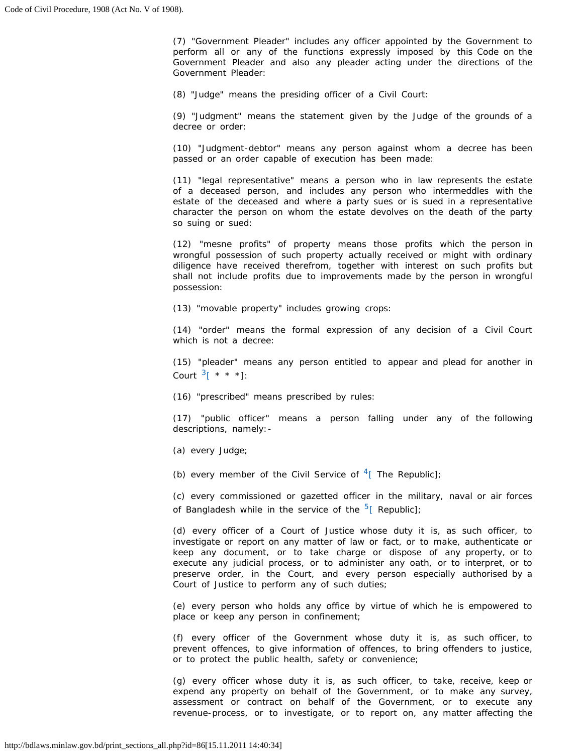perform all or any of the functions expressly imposed by this Code on the (7) "Government Pleader" includes any officer appointed by the Government to Government Pleader and also any pleader acting under the directions of the Government Pleader:

(8) "Judge" means the presiding officer of a Civil Court:

 (9) "Judgment" means the statement given by the Judge of the grounds of a decree or order:

 (10) "Judgment-debtor" means any person against whom a decree has been passed or an order capable of execution has been made:

 (11) "legal representative" means a person who in law represents the estate estate of the deceased and where a party sues or is sued in a representative character the person on whom the estate devolves on the death of the party of a deceased person, and includes any person who intermeddles with the so suing or sued:

 (12) "mesne profits" of property means those profits which the person in wrongful possession of such property actually received or might with ordinary shall not include profits due to improvements made by the person in wrongful diligence have received therefrom, together with interest on such profits but possession:

(13) "movable property" includes growing crops:

(14) "order" means the formal expression of any decision of a Civil Court which is not a decree:

 (15) "pleader" means any person entitled to appear and plead for another in Court  $3^{*}$  \* \* \*]:

(16) "prescribed" means prescribed by rules:

 (17) "public officer" means a person falling under any of the following descriptions, namely:

(a) every Judge;

(b) every member of the Civil Service of  $4$ [ The Republic];

 (c) every commissioned or gazetted officer in the military, naval or air forces of Bangladesh while in the service of the  $5$ [ Republic];

 keep any document, or to take charge or dispose of any property, or to execute any judicial process, or to administer any oath, or to interpret, or to preserve order, in the Court, and every person especially authorised by a (d) every officer of a Court of Justice whose duty it is, as such officer, to investigate or report on any matter of law or fact, or to make, authenticate or Court of Justice to perform any of such duties;

 (e) every person who holds any office by virtue of which he is empowered to place or keep any person in confinement;

 (f) every officer of the Government whose duty it is, as such officer, to prevent offences, to give information of offences, to bring offenders to justice, or to protect the public health, safety or convenience;

 (g) every officer whose duty it is, as such officer, to take, receive, keep or assessment or contract on behalf of the Government, or to execute any revenue-process, or to investigate, or to report on, any matter affecting the expend any property on behalf of the Government, or to make any survey,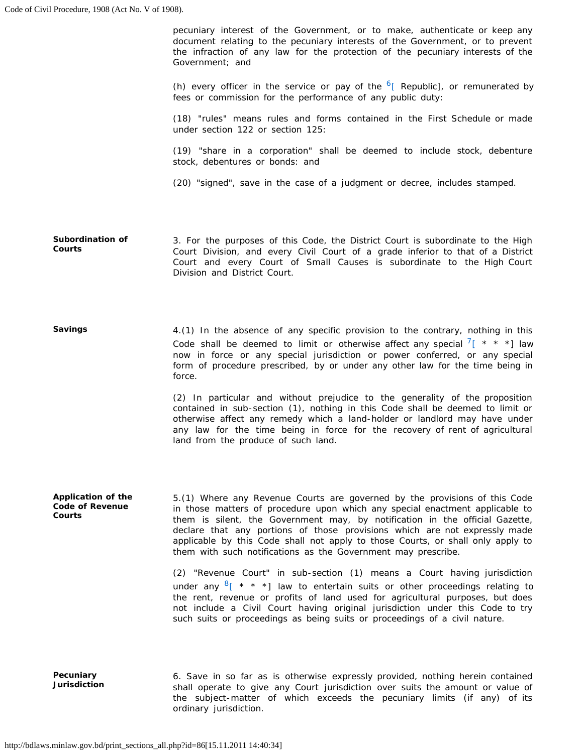pecuniary interest of the Government, or to make, authenticate or keep any document relating to the pecuniary interests of the Government, or to prevent the infraction of any law for the protection of the pecuniary interests of the Government; and

(h) every officer in the service or pay of the  $6$ [ Republic], or remunerated by fees or commission for the performance of any public duty:

 (18) "rules" means rules and forms contained in the First Schedule or made under section 122 or section 125:

(19) "share in a corporation" shall be deemed to include stock, debenture stock, debentures or bonds: and

(20) "signed", save in the case of a judgment or decree, includes stamped.

 3. For the purposes of this Code, the District Court is subordinate to the High Court Division, and every Civil Court of a grade inferior to that of a District Court and every Court of Small Causes is subordinate to the High Court **Subordination of Courts**  Division and District Court.

 4.(1) In the absence of any specific provision to the contrary, nothing in this Code shall be deemed to limit or otherwise affect any special  $\frac{7}{5}$  \* \* \*] law form of procedure prescribed, by or under any other law for the time being in **Savings**  now in force or any special jurisdiction or power conferred, or any special force.

> (2) In particular and without prejudice to the generality of the proposition contained in sub-section (1), nothing in this Code shall be deemed to limit or otherwise affect any remedy which a land-holder or landlord may have under any law for the time being in force for the recovery of rent of agricultural land from the produce of such land.

 5.(1) Where any Revenue Courts are governed by the provisions of this Code in those matters of procedure upon which any special enactment applicable to them is silent, the Government may, by notification in the official Gazette, declare that any portions of those provisions which are not expressly made applicable by this Code shall not apply to those Courts, or shall only apply to **Application of the Code of Revenue Courts**  them with such notifications as the Government may prescribe.

> (2) "Revenue Court" in sub-section (1) means a Court having jurisdiction the rent, revenue or profits of land used for agricultural purposes, but does not include a Civil Court having original jurisdiction under this Code to try under any  $8$ [ \* \* \*] law to entertain suits or other proceedings relating to such suits or proceedings as being suits or proceedings of a civil nature.

 6. Save in so far as is otherwise expressly provided, nothing herein contained shall operate to give any Court jurisdiction over suits the amount or value of **Pecuniary Jurisdiction**  the subject-matter of which exceeds the pecuniary limits (if any) of its ordinary jurisdiction.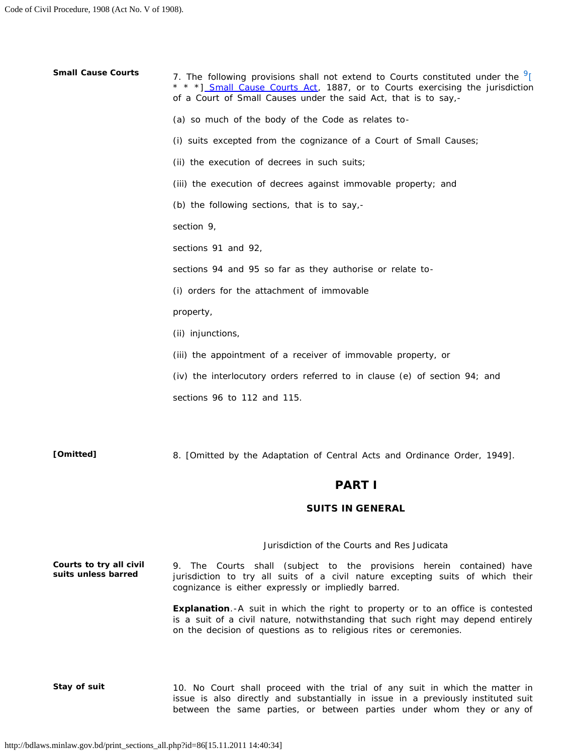| <b>Small Cause Courts</b>                      | 7. The following provisions shall not extend to Courts constituted under the <sup>9</sup> [<br>* * *] Small Cause Courts Act, 1887, or to Courts exercising the jurisdiction<br>of a Court of Small Causes under the said Act, that is to say,-  |
|------------------------------------------------|--------------------------------------------------------------------------------------------------------------------------------------------------------------------------------------------------------------------------------------------------|
|                                                | (a) so much of the body of the Code as relates to-                                                                                                                                                                                               |
|                                                | (i) suits excepted from the cognizance of a Court of Small Causes;                                                                                                                                                                               |
|                                                | (ii) the execution of decrees in such suits;                                                                                                                                                                                                     |
|                                                | (iii) the execution of decrees against immovable property; and                                                                                                                                                                                   |
|                                                | (b) the following sections, that is to say,-                                                                                                                                                                                                     |
|                                                | section 9,                                                                                                                                                                                                                                       |
|                                                | sections 91 and 92,                                                                                                                                                                                                                              |
|                                                | sections 94 and 95 so far as they authorise or relate to-                                                                                                                                                                                        |
|                                                | (i) orders for the attachment of immovable                                                                                                                                                                                                       |
|                                                | property,                                                                                                                                                                                                                                        |
|                                                | (ii) injunctions,                                                                                                                                                                                                                                |
|                                                | (iii) the appointment of a receiver of immovable property, or                                                                                                                                                                                    |
|                                                | (iv) the interlocutory orders referred to in clause (e) of section 94; and                                                                                                                                                                       |
|                                                | sections 96 to 112 and 115.                                                                                                                                                                                                                      |
|                                                |                                                                                                                                                                                                                                                  |
| [Omitted]                                      | 8. [Omitted by the Adaptation of Central Acts and Ordinance Order, 1949].                                                                                                                                                                        |
|                                                | <b>PART I</b>                                                                                                                                                                                                                                    |
|                                                | <b>SUITS IN GENERAL</b>                                                                                                                                                                                                                          |
|                                                | Jurisdiction of the Courts and Res Judicata                                                                                                                                                                                                      |
| Courts to try all civil<br>suits unless barred | 9. The Courts shall (subject to the provisions herein contained) have<br>jurisdiction to try all suits of a civil nature excepting suits of which their<br>cognizance is either expressly or impliedly barred.                                   |
|                                                | <b>Explanation.</b> -A suit in which the right to property or to an office is contested<br>is a suit of a civil nature, notwithstanding that such right may depend entirely<br>on the decision of questions as to religious rites or ceremonies. |
|                                                |                                                                                                                                                                                                                                                  |
| Stay of suit                                   | 10. No Court shall proceed with the trial of any suit in which the matter in                                                                                                                                                                     |

 issue is also directly and substantially in issue in a previously instituted suit between the same parties, or between parties under whom they or any of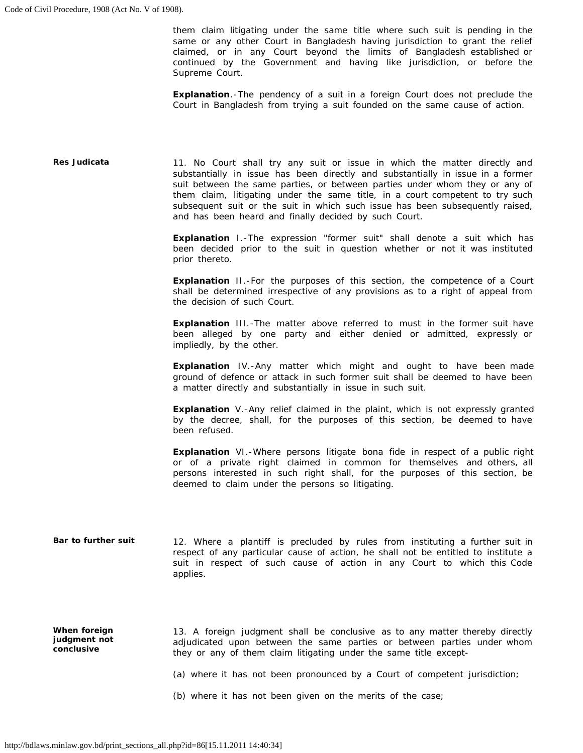them claim litigating under the same title where such suit is pending in the same or any other Court in Bangladesh having jurisdiction to grant the relief claimed, or in any Court beyond the limits of Bangladesh established or continued by the Government and having like jurisdiction, or before the Supreme Court.

**Explanation**.-The pendency of a suit in a foreign Court does not preclude the Court in Bangladesh from trying a suit founded on the same cause of action.

| Res Judicata                               | 11. No Court shall try any suit or issue in which the matter directly and<br>substantially in issue has been directly and substantially in issue in a former<br>suit between the same parties, or between parties under whom they or any of<br>them claim, litigating under the same title, in a court competent to try such<br>subsequent suit or the suit in which such issue has been subsequently raised,<br>and has been heard and finally decided by such Court. |
|--------------------------------------------|------------------------------------------------------------------------------------------------------------------------------------------------------------------------------------------------------------------------------------------------------------------------------------------------------------------------------------------------------------------------------------------------------------------------------------------------------------------------|
|                                            | Explanation I.-The expression "former suit" shall denote a suit which has<br>been decided prior to the suit in question whether or not it was instituted<br>prior thereto.                                                                                                                                                                                                                                                                                             |
|                                            | <b>Explanation</b> II.-For the purposes of this section, the competence of a Court<br>shall be determined irrespective of any provisions as to a right of appeal from<br>the decision of such Court.                                                                                                                                                                                                                                                                   |
|                                            | <b>Explanation</b> III.-The matter above referred to must in the former suit have<br>been alleged by one party and either denied or admitted, expressly or<br>impliedly, by the other.                                                                                                                                                                                                                                                                                 |
|                                            | <b>Explanation</b> IV.-Any matter which might and ought to have been made<br>ground of defence or attack in such former suit shall be deemed to have been<br>a matter directly and substantially in issue in such suit.                                                                                                                                                                                                                                                |
|                                            | <b>Explanation</b> V.-Any relief claimed in the plaint, which is not expressly granted<br>by the decree, shall, for the purposes of this section, be deemed to have<br>been refused.                                                                                                                                                                                                                                                                                   |
|                                            | Explanation VI.-Where persons litigate bona fide in respect of a public right<br>or of a private right claimed in common for themselves and others, all<br>persons interested in such right shall, for the purposes of this section, be<br>deemed to claim under the persons so litigating.                                                                                                                                                                            |
| Bar to further suit                        | 12. Where a plantiff is precluded by rules from instituting a further suit in<br>respect of any particular cause of action, he shall not be entitled to institute a<br>suit in respect of such cause of action in any Court to which this Code<br>applies.                                                                                                                                                                                                             |
| When foreign<br>judgment not<br>conclusive | 13. A foreign judgment shall be conclusive as to any matter thereby directly<br>adjudicated upon between the same parties or between parties under whom<br>they or any of them claim litigating under the same title except-                                                                                                                                                                                                                                           |
|                                            | (a) where it has not been pronounced by a Court of competent jurisdiction;                                                                                                                                                                                                                                                                                                                                                                                             |
|                                            | (b) where it has not been given on the merits of the case;                                                                                                                                                                                                                                                                                                                                                                                                             |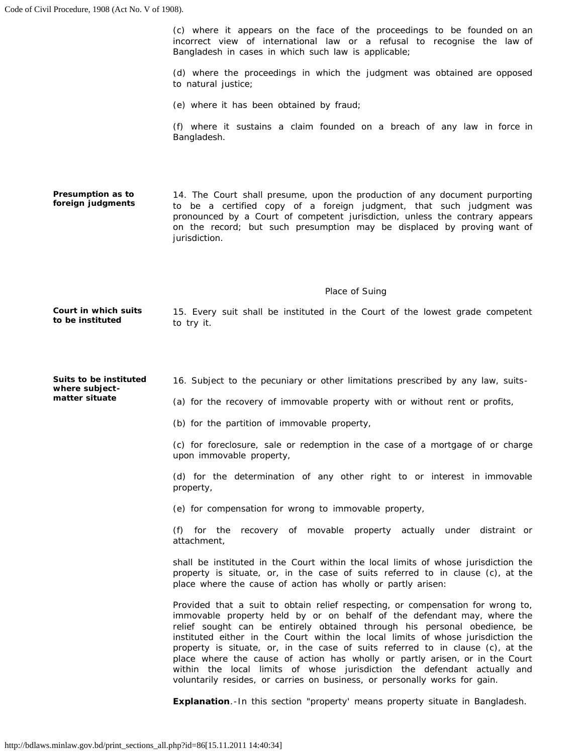(c) where it appears on the face of the proceedings to be founded on an (d) where the proceedings in which the judgment was obtained are opposed (f) where it sustains a claim founded on a breach of any law in force in 14. The Court shall presume, upon the production of any document purporting pronounced by a Court of competent jurisdiction, unless the contrary appears on the record; but such presumption may be displaced by proving want of  *Place of Suing*  15. Every suit shall be instituted in the Court of the lowest grade competent (c) for foreclosure, sale or redemption in the case of a mortgage of or charge (d) for the determination of any other right to or interest in immovable shall be instituted in the Court within the local limits of whose jurisdiction the property is situate, or, in the case of suits referred to in clause (c), at the Provided that a suit to obtain relief respecting, or compensation for wrong to, immovable property held by or on behalf of the defendant may, where the relief sought can be entirely obtained through his personal obedience, be instituted either in the Court within the local limits of whose jurisdiction the property is situate, or, in the case of suits referred to in clause (c), at the place where the cause of action has wholly or partly arisen, or in the Court incorrect view of international law or a refusal to recognise the law of Bangladesh in cases in which such law is applicable; **Presumption as to foreign judgments Court in which suits to be instituted Suits to be instituted where subjectmatter situate**  to natural justice; (e) where it has been obtained by fraud; Bangladesh. to be a certified copy of a foreign judgment, that such judgment was jurisdiction. to try it. 16. Subject to the pecuniary or other limitations prescribed by any law, suits (a) for the recovery of immovable property with or without rent or profits, (b) for the partition of immovable property, upon immovable property, property, (e) for compensation for wrong to immovable property, (f) for the recovery of movable property actually under distraint or attachment, place where the cause of action has wholly or partly arisen: within the local limits of whose jurisdiction the defendant actually and voluntarily resides, or carries on business, or personally works for gain.

**Explanation**.-In this section "property' means property situate in Bangladesh.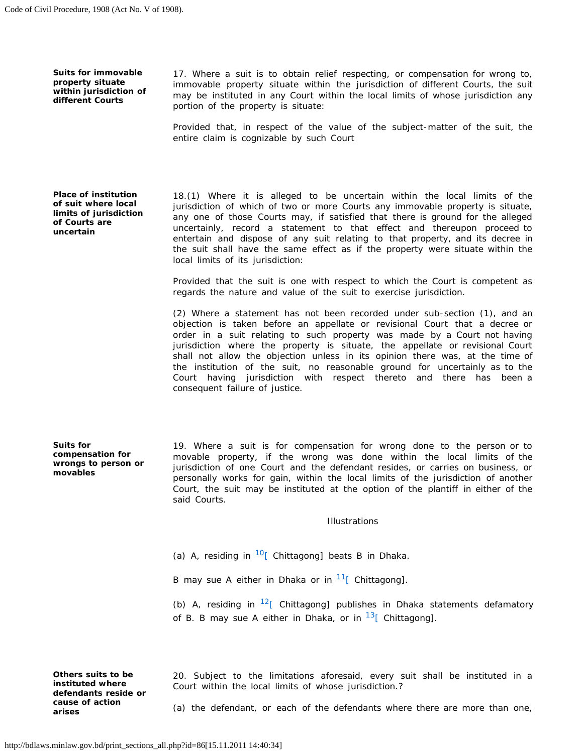**Suits for immovable property situate within jurisdiction of different Courts** 

 17. Where a suit is to obtain relief respecting, or compensation for wrong to, immovable property situate within the jurisdiction of different Courts, the suit may be instituted in any Court within the local limits of whose jurisdiction any portion of the property is situate:

 Provided that, in respect of the value of the subject-matter of the suit, the entire claim is cognizable by such Court

**Place of institution of suit where local limits of jurisdiction of Courts are uncertain** 

 18.(1) Where it is alleged to be uncertain within the local limits of the jurisdiction of which of two or more Courts any immovable property is situate, any one of those Courts may, if satisfied that there is ground for the alleged entertain and dispose of any suit relating to that property, and its decree in the suit shall have the same effect as if the property were situate within the uncertainly, record a statement to that effect and thereupon proceed to local limits of its jurisdiction:

 Provided that the suit is one with respect to which the Court is competent as regards the nature and value of the suit to exercise jurisdiction.

 (2) Where a statement has not been recorded under sub-section (1), and an objection is taken before an appellate or revisional Court that a decree or order in a suit relating to such property was made by a Court not having jurisdiction where the property is situate, the appellate or revisional Court shall not allow the objection unless in its opinion there was, at the time of the institution of the suit, no reasonable ground for uncertainly as to the Court having jurisdiction with respect thereto and there has been a consequent failure of justice.

**Suits for compensation for wrongs to person or movables** 

 19. Where a suit is for compensation for wrong done to the person or to movable property, if the wrong was done within the local limits of the jurisdiction of one Court and the defendant resides, or carries on business, or personally works for gain, within the local limits of the jurisdiction of another Court, the suit may be instituted at the option of the plantiff in either of the said Courts.

#### *Illustrations*

(a) A, residing in  $10$ [ Chittagong] beats B in Dhaka.

B may sue A either in Dhaka or in  $11$ [ Chittagong].

(b) A, residing in  $12$ [ Chittagong] publishes in Dhaka statements defamatory of B. B may sue A either in Dhaka, or in  $13$  Chittagong].

**Others suits to be** 20. Subject to the limitations aforesaid, every suit shall be instituted in a **instituted where** Court within the local limits of whose jurisdiction 2 **instituted where court** within the local limits of whose jurisdiction.? **defendants reside or** 

**cause of action** (a) the defendant, or each of the defendants where there are more than one, **arises**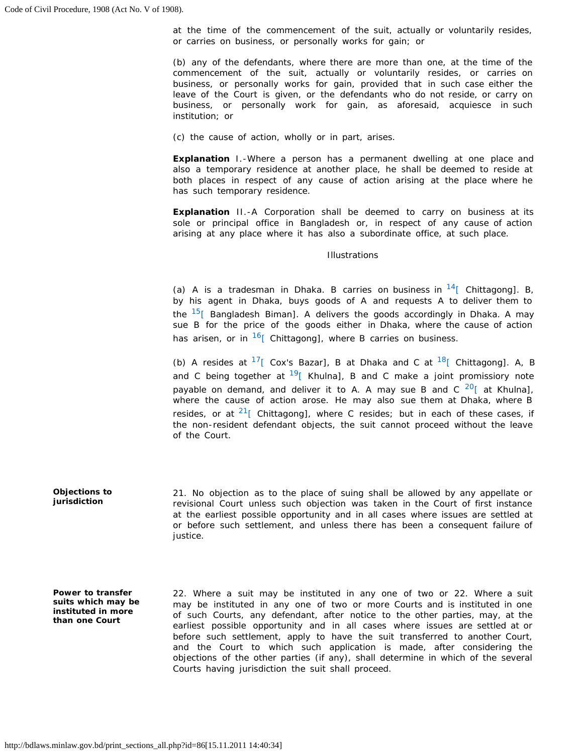at the time of the commencement of the suit, actually or voluntarily resides, or carries on business, or personally works for gain; or

 (b) any of the defendants, where there are more than one, at the time of the business, or personally works for gain, provided that in such case either the leave of the Court is given, or the defendants who do not reside, or carry on business, or personally work for gain, as aforesaid, acquiesce in such commencement of the suit, actually or voluntarily resides, or carries on institution; or

(c) the cause of action, wholly or in part, arises.

 also a temporary residence at another place, he shall be deemed to reside at both places in respect of any cause of action arising at the place where he **Explanation** I.-Where a person has a permanent dwelling at one place and has such temporary residence.

 **Explanation** II.-A Corporation shall be deemed to carry on business at its sole or principal office in Bangladesh or, in respect of any cause of action arising at any place where it has also a subordinate office, at such place.

### *Illustrations*

(a) A is a tradesman in Dhaka. B carries on business in  $14$ [ Chittagong]. B, by his agent in Dhaka, buys goods of A and requests A to deliver them to the  $15$ [ Bangladesh Biman]. A delivers the goods accordingly in Dhaka. A may sue B for the price of the goods either in Dhaka, where the cause of action has arisen, or in  $\frac{16}{16}$  Chittagong], where B carries on business.

(b) A resides at  $17$ [ Cox's Bazar], B at Dhaka and C at  $18$ [ Chittagong]. A, B and C being together at  $19$ [ Khulna], B and C make a joint promissiory note payable on demand, and deliver it to A. A may sue B and C  $^{20}$  at Khulna], where the cause of action arose. He may also sue them at Dhaka, where B resides, or at  $21$  [ Chittagong], where C resides; but in each of these cases, if the non-resident defendant objects, the suit cannot proceed without the leave of the Court.

 21. No objection as to the place of suing shall be allowed by any appellate or revisional Court unless such objection was taken in the Court of first instance or before such settlement, and unless there has been a consequent failure of at the earliest possible opportunity and in all cases where issues are settled at justice.

**Power to transfer suits which may be instituted in more than one Court** 

**Objections to jurisdiction** 

> 22. Where a suit may be instituted in any one of two or 22. Where a suit may be instituted in any one of two or more Courts and is instituted in one of such Courts, any defendant, after notice to the other parties, may, at the earliest possible opportunity and in all cases where issues are settled at or before such settlement, apply to have the suit transferred to another Court, and the Court to which such application is made, after considering the objections of the other parties (if any), shall determine in which of the several Courts having jurisdiction the suit shall proceed.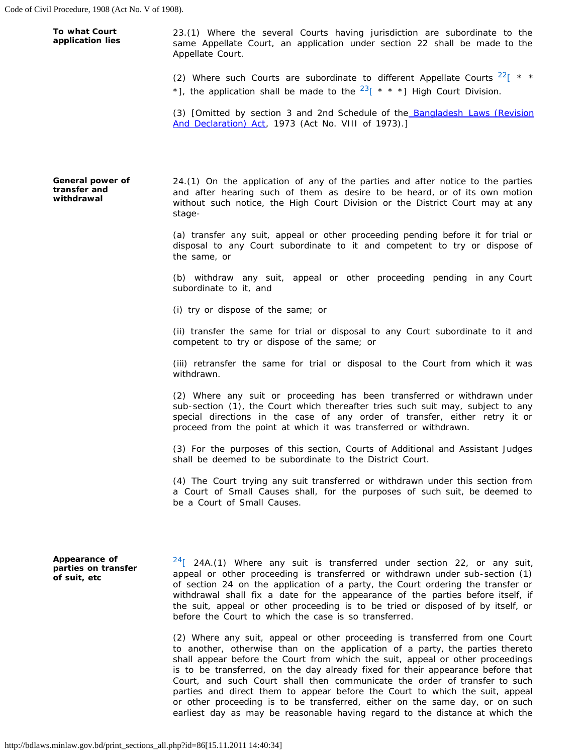**application lies** same Appellate Court, an application under section 22 shall be made to the **To what Court** 23.(1) Where the several Courts having jurisdiction are subordinate to the **application lies** same Appellate Court, an application under section 22 shall be made to the Appellate Court.

- (2) Where such Courts are subordinate to different Appellate Courts  $22$   $\pm$  \*
- \*], the application shall be made to the  $^{23}$ [ \* \* \*] High Court Division.

(3) [Omitted by section 3 and 2nd Schedule of the **Bangladesh Laws (Revision** [And Declaration\) Act,](http://bdlaws.minlaw.gov.bd/pdf_part.php?id=430) 1973 (Act No. VIII of 1973).]

**General power of transfer and withdrawal** 

 24.(1) On the application of any of the parties and after notice to the parties and after hearing such of them as desire to be heard, or of its own motion without such notice, the High Court Division or the District Court may at any stage

 (a) transfer any suit, appeal or other proceeding pending before it for trial or disposal to any Court subordinate to it and competent to try or dispose of the same, or

 (b) withdraw any suit, appeal or other proceeding pending in any Court subordinate to it, and

(i) try or dispose of the same; or

 (ii) transfer the same for trial or disposal to any Court subordinate to it and competent to try or dispose of the same; or

 (iii) retransfer the same for trial or disposal to the Court from which it was withdrawn.

 (2) Where any suit or proceeding has been transferred or withdrawn under special directions in the case of any order of transfer, either retry it or sub-section (1), the Court which thereafter tries such suit may, subject to any proceed from the point at which it was transferred or withdrawn.

 (3) For the purposes of this section, Courts of Additional and Assistant Judges shall be deemed to be subordinate to the District Court.

 (4) The Court trying any suit transferred or withdrawn under this section from a Court of Small Causes shall, for the purposes of such suit, be deemed to be a Court of Small Causes.

**Appearance of parties on transfer of suit, etc** 

 $24$ [ 24A.(1) Where any suit is transferred under section 22, or any suit, appeal or other proceeding is transferred or withdrawn under sub-section (1) of section 24 on the application of a party, the Court ordering the transfer or withdrawal shall fix a date for the appearance of the parties before itself, if the suit, appeal or other proceeding is to be tried or disposed of by itself, or before the Court to which the case is so transferred.

 (2) Where any suit, appeal or other proceeding is transferred from one Court to another, otherwise than on the application of a party, the parties thereto is to be transferred, on the day already fixed for their appearance before that Court, and such Court shall then communicate the order of transfer to such parties and direct them to appear before the Court to which the suit, appeal or other proceeding is to be transferred, either on the same day, or on such earliest day as may be reasonable having regard to the distance at which the shall appear before the Court from which the suit, appeal or other proceedings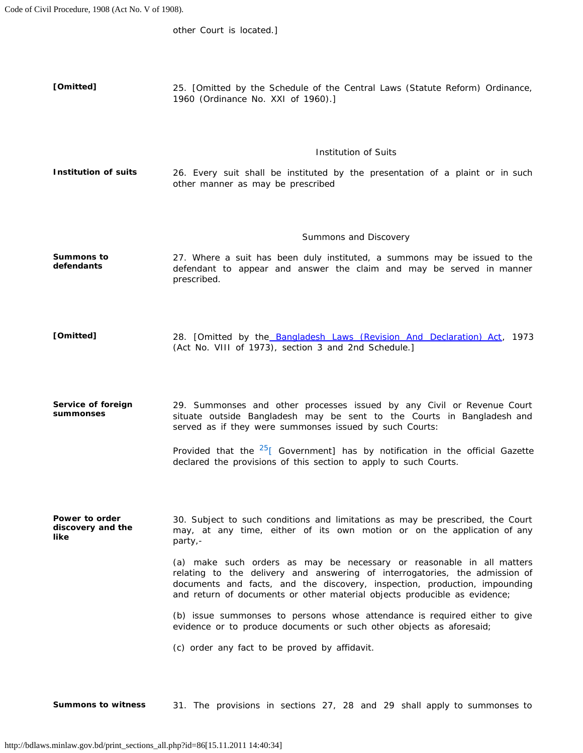other Court is located.]

 **[Omitted]** 25. [Omitted by the Schedule of the Central Laws (Statute Reform) Ordinance, 1960 (Ordinance No. XXI of 1960).]

### *Institution of Suits*

Institution of suits **26.** Every suit shall be instituted by the presentation of a plaint or in such other manner as may be prescribed

#### *Summons and Discovery*

 **Summons to** 27. Where a suit has been duly instituted, a summons may be issued to the **defendants** defendant to appear and answer the claim and may be served in manner prescribed.

[Omitted] 28. [Omitted by the [Bangladesh Laws \(Revision And Declaration\) Act,](http://bdlaws.minlaw.gov.bd/pdf_part.php?id=430) 1973 (Act No. VIII of 1973), section 3 and 2nd Schedule.]

 29. Summonses and other processes issued by any Civil or Revenue Court situate outside Bangladesh may be sent to the Courts in Bangladesh and **Service of foreign summonses**  served as if they were summonses issued by such Courts:

> Provided that the  $25$ <sup>[</sup> Government] has by notification in the official Gazette declared the provisions of this section to apply to such Courts.

 may, at any time, either of its own motion or on the application of any **Power to order discovery and the like**  30. Subject to such conditions and limitations as may be prescribed, the Court party,

> (a) make such orders as may be necessary or reasonable in all matters relating to the delivery and answering of interrogatories, the admission of documents and facts, and the discovery, inspection, production, impounding and return of documents or other material objects producible as evidence;

> (b) issue summonses to persons whose attendance is required either to give evidence or to produce documents or such other objects as aforesaid;

(c) order any fact to be proved by affidavit.

**Summons to witness** 31. The provisions in sections 27, 28 and 29 shall apply to summonses to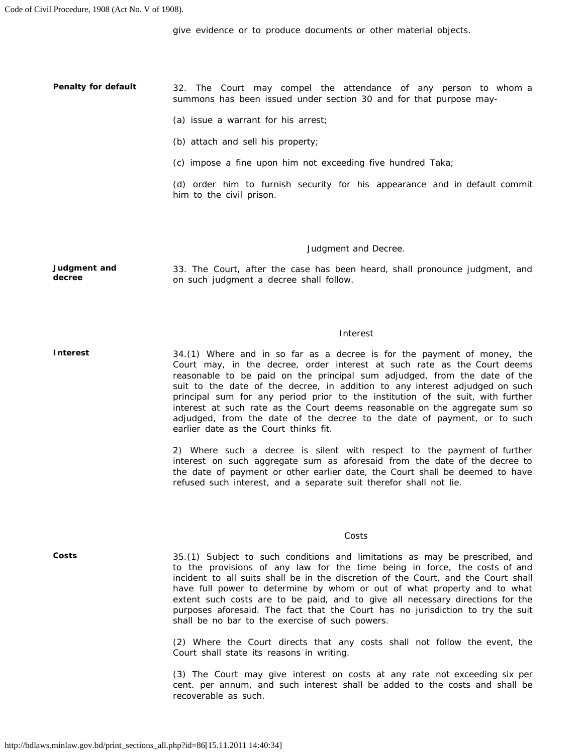give evidence or to produce documents or other material objects.

 32. The Court may compel the attendance of any person to whom a **Penalty for default**  summons has been issued under section 30 and for that purpose may

- (a) issue a warrant for his arrest;
- (b) attach and sell his property;
- (c) impose a fine upon him not exceeding five hundred Taka;

 (d) order him to furnish security for his appearance and in default commit him to the civil prison.

#### *Judgment and Decree.*

 33. The Court, after the case has been heard, shall pronounce judgment, and **Judgment and decree**  on such judgment a decree shall follow.

#### *Interest*

 Court may, in the decree, order interest at such rate as the Court deems suit to the date of the decree, in addition to any interest adjudged on such principal sum for any period prior to the institution of the suit, with further interest at such rate as the Court deems reasonable on the aggregate sum so **Interest**  34.(1) Where and in so far as a decree is for the payment of money, the reasonable to be paid on the principal sum adjudged, from the date of the adjudged, from the date of the decree to the date of payment, or to such earlier date as the Court thinks fit.

> 2) Where such a decree is silent with respect to the payment of further interest on such aggregate sum as aforesaid from the date of the decree to the date of payment or other earlier date, the Court shall be deemed to have refused such interest, and a separate suit therefor shall not lie.

#### *Costs*

**Costs** 

 to the provisions of any law for the time being in force, the costs of and incident to all suits shall be in the discretion of the Court, and the Court shall have full power to determine by whom or out of what property and to what extent such costs are to be paid, and to give all necessary directions for the purposes aforesaid. The fact that the Court has no jurisdiction to try the suit 35.(1) Subject to such conditions and limitations as may be prescribed, and shall be no bar to the exercise of such powers.

 (2) Where the Court directs that any costs shall not follow the event, the Court shall state its reasons in writing.

 (3) The Court may give interest on costs at any rate not exceeding six per cent. per annum, and such interest shall be added to the costs and shall be recoverable as such.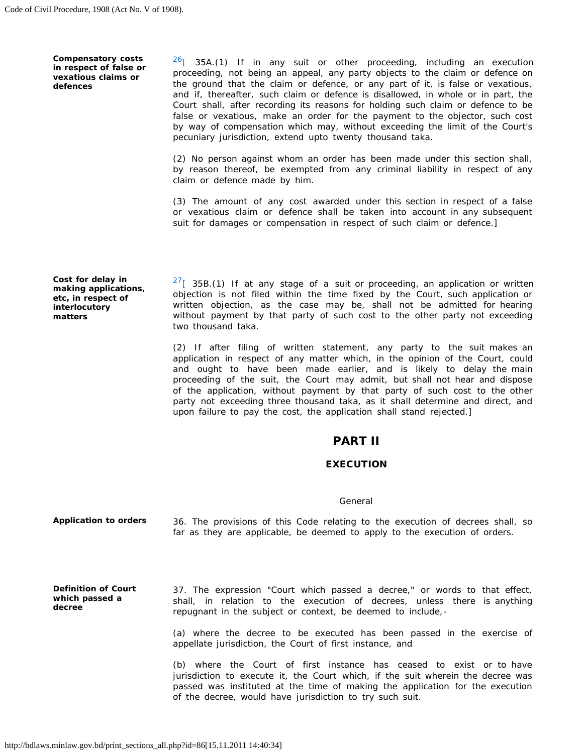**Compensatory costs in respect of false or vexatious claims or defences** 

 proceeding, not being an appeal, any party objects to the claim or defence on the ground that the claim or defence, or any part of it, is false or vexatious, and if, thereafter, such claim or defence is disallowed, in whole or in part, the false or vexatious, make an order for the payment to the objector, such cost  $26$ [ 35A.(1) If in any suit or other proceeding, including an execution Court shall, after recording its reasons for holding such claim or defence to be by way of compensation which may, without exceeding the limit of the Court's pecuniary jurisdiction, extend upto twenty thousand taka.

 by reason thereof, be exempted from any criminal liability in respect of any (2) No person against whom an order has been made under this section shall, claim or defence made by him.

 (3) The amount of any cost awarded under this section in respect of a false or vexatious claim or defence shall be taken into account in any subsequent suit for damages or compensation in respect of such claim or defence.]

**Cost for delay in making applications, etc, in respect of interlocutory matters** 

 $27$ [ 35B.(1) If at any stage of a suit or proceeding, an application or written objection is not filed within the time fixed by the Court, such application or written objection, as the case may be, shall not be admitted for hearing without payment by that party of such cost to the other party not exceeding two thousand taka.

 (2) If after filing of written statement, any party to the suit makes an application in respect of any matter which, in the opinion of the Court, could and ought to have been made earlier, and is likely to delay the main proceeding of the suit, the Court may admit, but shall not hear and dispose of the application, without payment by that party of such cost to the other party not exceeding three thousand taka, as it shall determine and direct, and upon failure to pay the cost, the application shall stand rejected.]

# PART II

### **EXECUTION**

### *General*

 36. The provisions of this Code relating to the execution of decrees shall, so **Application to orders**  far as they are applicable, be deemed to apply to the execution of orders.

 shall, in relation to the execution of decrees, unless there is anything **Definition of Court which passed a decree**  37. The expression "Court which passed a decree," or words to that effect, repugnant in the subject or context, be deemed to include,

> (a) where the decree to be executed has been passed in the exercise of appellate jurisdiction, the Court of first instance, and

> (b) where the Court of first instance has ceased to exist or to have jurisdiction to execute it, the Court which, if the suit wherein the decree was passed was instituted at the time of making the application for the execution of the decree, would have jurisdiction to try such suit.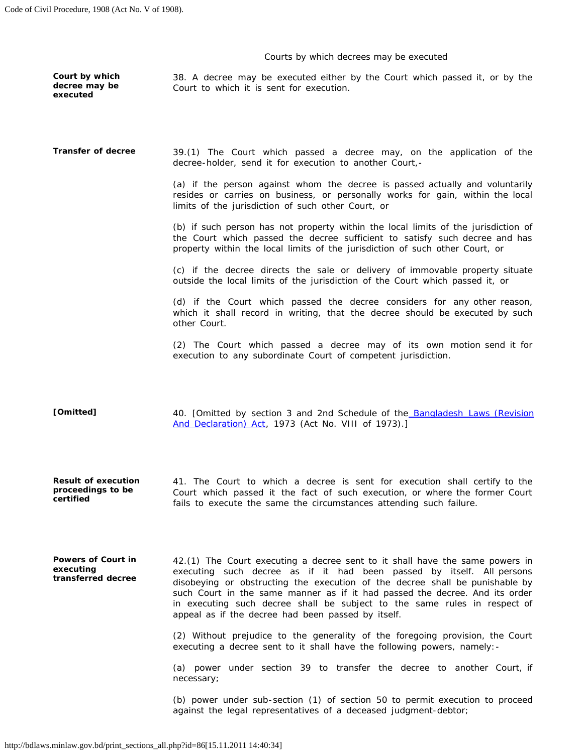### *Courts by which decrees may be executed*

**executed** 

 **Court by which** 38. A decree may be executed either by the Court which passed it, or by the **decree may be Court to which it is sent for execution.** 

 39.(1) The Court which passed a decree may, on the application of the **Transfer of decree**  decree-holder, send it for execution to another Court,

> (a) if the person against whom the decree is passed actually and voluntarily resides or carries on business, or personally works for gain, within the local limits of the jurisdiction of such other Court, or

> the Court which passed the decree sufficient to satisfy such decree and has (b) if such person has not property within the local limits of the jurisdiction of property within the local limits of the jurisdiction of such other Court, or

> (c) if the decree directs the sale or delivery of immovable property situate outside the local limits of the jurisdiction of the Court which passed it, or

> (d) if the Court which passed the decree considers for any other reason, which it shall record in writing, that the decree should be executed by such other Court.

> (2) The Court which passed a decree may of its own motion send it for execution to any subordinate Court of competent jurisdiction.

40. [Omitted by section 3 and 2nd Schedule of the **Bangladesh Laws (Revision [Omitted]**  [And Declaration\) Act,](http://bdlaws.minlaw.gov.bd/pdf_part.php?id=430) 1973 (Act No. VIII of 1973).]

 41. The Court to which a decree is sent for execution shall certify to the Court which passed it the fact of such execution, or where the former Court **Result of execution proceedings to be certified**  fails to execute the same the circumstances attending such failure.

**Powers of Court in executing transferred decree** 

 42.(1) The Court executing a decree sent to it shall have the same powers in disobeying or obstructing the execution of the decree shall be punishable by such Court in the same manner as if it had passed the decree. And its order executing such decree as if it had been passed by itself. All persons in executing such decree shall be subject to the same rules in respect of appeal as if the decree had been passed by itself.

 (2) Without prejudice to the generality of the foregoing provision, the Court executing a decree sent to it shall have the following powers, namely:

 (a) power under section 39 to transfer the decree to another Court, if necessary;

 (b) power under sub-section (1) of section 50 to permit execution to proceed against the legal representatives of a deceased judgment-debtor;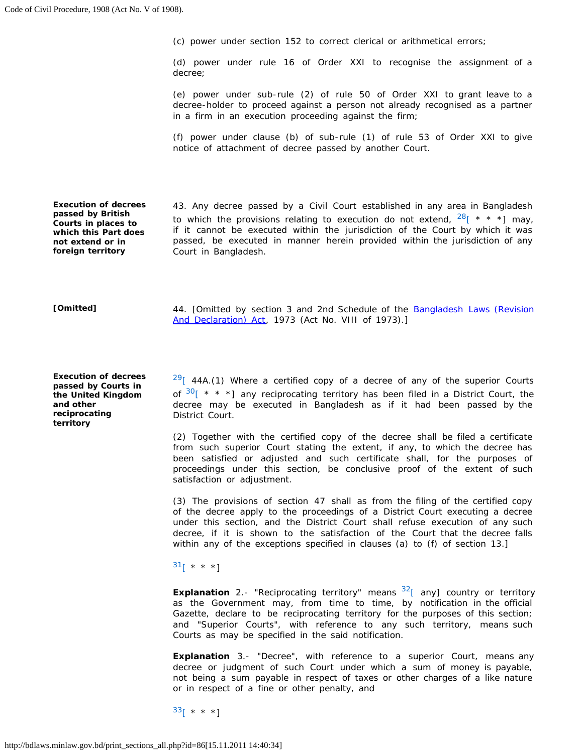(c) power under section 152 to correct clerical or arithmetical errors;

 (d) power under rule 16 of Order XXI to recognise the assignment of a decree;

 (e) power under sub-rule (2) of rule 50 of Order XXI to grant leave to a decree-holder to proceed against a person not already recognised as a partner in a firm in an execution proceeding against the firm;

 (f) power under clause (b) of sub-rule (1) of rule 53 of Order XXI to give notice of attachment of decree passed by another Court.

**Execution of decrees passed by British Courts in places to which this Part does not extend or in foreign territory** 

 43. Any decree passed by a Civil Court established in any area in Bangladesh to which the provisions relating to execution do not extend,  $28$ [ \* \* \*] may, if it cannot be executed within the jurisdiction of the Court by which it was passed, be executed in manner herein provided within the jurisdiction of any Court in Bangladesh.

#### **[Omitted]**

44. [Omitted by section 3 and 2nd Schedule of the **Bangladesh Laws (Revision** [And Declaration\) Act,](http://bdlaws.minlaw.gov.bd/pdf_part.php?id=430) 1973 (Act No. VIII of 1973).]

**Execution of decrees passed by Courts in the United Kingdom and other reciprocating territory** 

 $2^{9}$ [ 44A.(1) Where a certified copy of a decree of any of the superior Courts of  $30$ [ \* \* \*] any reciprocating territory has been filed in a District Court, the decree may be executed in Bangladesh as if it had been passed by the District Court.

 (2) Together with the certified copy of the decree shall be filed a certificate from such superior Court stating the extent, if any, to which the decree has been satisfied or adjusted and such certificate shall, for the purposes of proceedings under this section, be conclusive proof of the extent of such satisfaction or adjustment.

 (3) The provisions of section 47 shall as from the filing of the certified copy of the decree apply to the proceedings of a District Court executing a decree under this section, and the District Court shall refuse execution of any such decree, if it is shown to the satisfaction of the Court that the decree falls within any of the exceptions specified in clauses (a) to (f) of section 13.]

 $31$ [ \* \* \*]

 as the Government may, from time to time, by notification in the official Gazette, declare to be reciprocating territory for the purposes of this section; **Explanation** 2.- "Reciprocating territory" means <sup>32</sup>[ any] country or territory and "Superior Courts", with reference to any such territory, means such Courts as may be specified in the said notification.

 **Explanation** 3.- "Decree", with reference to a superior Court, means any decree or judgment of such Court under which a sum of money is payable, not being a sum payable in respect of taxes or other charges of a like nature or in respect of a fine or other penalty, and

 $33$ [ \* \* \*]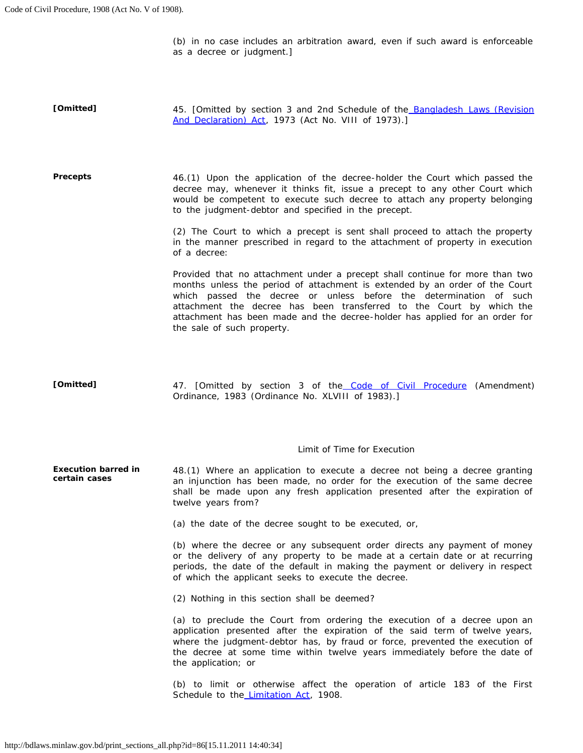(b) in no case includes an arbitration award, even if such award is enforceable as a decree or judgment.]

45. [Omitted by section 3 and 2nd Schedule of the **Bangladesh Laws (Revision [Omitted]**  [And Declaration\) Act,](http://bdlaws.minlaw.gov.bd/pdf_part.php?id=430) 1973 (Act No. VIII of 1973).]

 46.(1) Upon the application of the decree-holder the Court which passed the decree may, whenever it thinks fit, issue a precept to any other Court which would be competent to execute such decree to attach any property belonging **Precepts**  to the judgment-debtor and specified in the precept.

> (2) The Court to which a precept is sent shall proceed to attach the property in the manner prescribed in regard to the attachment of property in execution of a decree:

> Provided that no attachment under a precept shall continue for more than two months unless the period of attachment is extended by an order of the Court which passed the decree or unless before the determination of such attachment the decree has been transferred to the Court by which the attachment has been made and the decree-holder has applied for an order for the sale of such property.

**[Omitted]**  47. [Omitted by section 3 of the [Code of Civil Procedure](http://bdlaws.minlaw.gov.bd/pdf_part.php?id=86) (Amendment) Ordinance, 1983 (Ordinance No. XLVIII of 1983).]

### *Limit of Time for Execution*

 48.(1) Where an application to execute a decree not being a decree granting an injunction has been made, no order for the execution of the same decree shall be made upon any fresh application presented after the expiration of **Execution barred in certain cases**  twelve years from?

(a) the date of the decree sought to be executed, or,

 (b) where the decree or any subsequent order directs any payment of money or the delivery of any property to be made at a certain date or at recurring periods, the date of the default in making the payment or delivery in respect of which the applicant seeks to execute the decree.

(2) Nothing in this section shall be deemed?

 (a) to preclude the Court from ordering the execution of a decree upon an application presented after the expiration of the said term of twelve years, where the judgment-debtor has, by fraud or force, prevented the execution of the decree at some time within twelve years immediately before the date of the application; or

 (b) to limit or otherwise affect the operation of article 183 of the First Schedule to the [Limitation Act,](http://bdlaws.minlaw.gov.bd/pdf_part.php?id=88) 1908.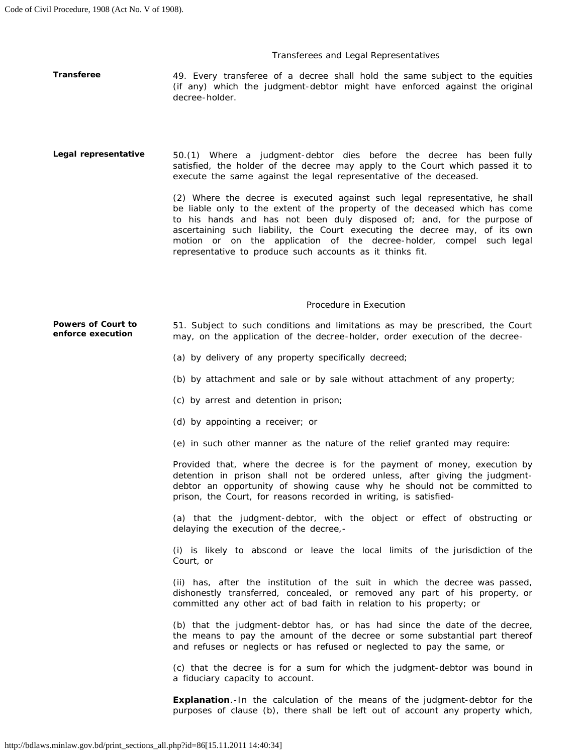### *Transferees and Legal Representatives*

**Transferee** 49. Every transferee of a decree shall hold the same subject to the equities (if any) which the judgment-debtor might have enforced against the original decree-holder.

Legal representative 50.(1) Where a judgment-debtor dies before the decree has been fully satisfied, the holder of the decree may apply to the Court which passed it to execute the same against the legal representative of the deceased.

> (2) Where the decree is executed against such legal representative, he shall be liable only to the extent of the property of the deceased which has come to his hands and has not been duly disposed of; and, for the purpose of motion or on the application of the decree-holder, compel such legal ascertaining such liability, the Court executing the decree may, of its own representative to produce such accounts as it thinks fit.

### *Procedure in Execution*

**Powers of Court to** 51. Subject to such conditions and limitations as may be prescribed, the Court enforce execution on the application of the decree-bolder, order execution of the decree**enforce execution** may, on the application of the decree-holder, order execution of the decree

- (a) by delivery of any property specifically decreed;
- (b) by attachment and sale or by sale without attachment of any property;
- (c) by arrest and detention in prison;
- (d) by appointing a receiver; or
- (e) in such other manner as the nature of the relief granted may require:

 Provided that, where the decree is for the payment of money, execution by detention in prison shall not be ordered unless, after giving the judgment- debtor an opportunity of showing cause why he should not be committed to prison, the Court, for reasons recorded in writing, is satisfied

 (a) that the judgment-debtor, with the object or effect of obstructing or delaying the execution of the decree,

 (i) is likely to abscond or leave the local limits of the jurisdiction of the Court, or

 (ii) has, after the institution of the suit in which the decree was passed, dishonestly transferred, concealed, or removed any part of his property, or committed any other act of bad faith in relation to his property; or

 (b) that the judgment-debtor has, or has had since the date of the decree, the means to pay the amount of the decree or some substantial part thereof and refuses or neglects or has refused or neglected to pay the same, or

 (c) that the decree is for a sum for which the judgment-debtor was bound in a fiduciary capacity to account.

 **Explanation**.-In the calculation of the means of the judgment-debtor for the purposes of clause (b), there shall be left out of account any property which,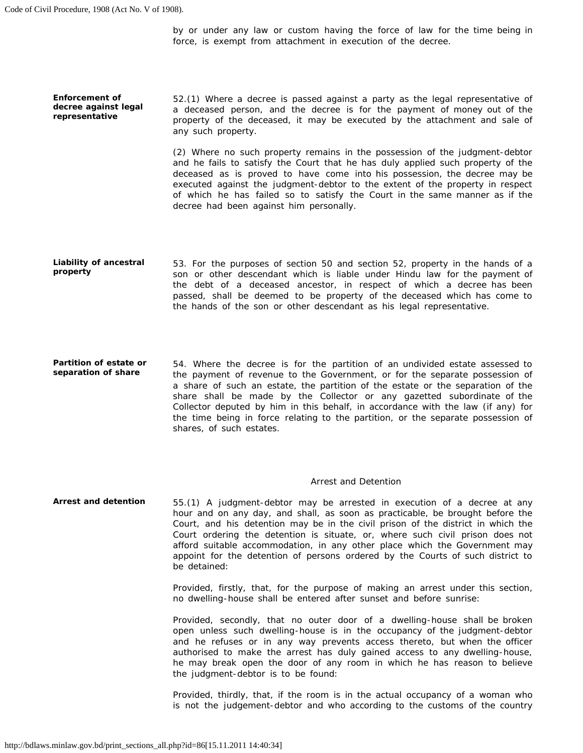**Enforcement of decree against legal representative** 

 by or under any law or custom having the force of law for the time being in force, is exempt from attachment in execution of the decree.

 a deceased person, and the decree is for the payment of money out of the property of the deceased, it may be executed by the attachment and sale of 52.(1) Where a decree is passed against a party as the legal representative of any such property.

 (2) Where no such property remains in the possession of the judgment-debtor deceased as is proved to have come into his possession, the decree may be executed against the judgment-debtor to the extent of the property in respect of which he has failed so to satisfy the Court in the same manner as if the and he fails to satisfy the Court that he has duly applied such property of the decree had been against him personally.

- 53. For the purposes of section 50 and section 52, property in the hands of a son or other descendant which is liable under Hindu law for the payment of the debt of a deceased ancestor, in respect of which a decree has been passed, shall be deemed to be property of the deceased which has come to **Liability of ancestral property**  the hands of the son or other descendant as his legal representative.
- 54. Where the decree is for the partition of an undivided estate assessed to the payment of revenue to the Government, or for the separate possession of a share of such an estate, the partition of the estate or the separation of the share shall be made by the Collector or any gazetted subordinate of the the time being in force relating to the partition, or the separate possession of **Partition of estate or separation of share**  Collector deputed by him in this behalf, in accordance with the law (if any) for shares, of such estates.

### *Arrest and Detention*

 Court, and his detention may be in the civil prison of the district in which the Court ordering the detention is situate, or, where such civil prison does not afford suitable accommodation, in any other place which the Government may appoint for the detention of persons ordered by the Courts of such district to **Arrest and detention**  55.(1) A judgment-debtor may be arrested in execution of a decree at any hour and on any day, and shall, as soon as practicable, be brought before the be detained:

> Provided, firstly, that, for the purpose of making an arrest under this section, no dwelling-house shall be entered after sunset and before sunrise:

> Provided, secondly, that no outer door of a dwelling-house shall be broken open unless such dwelling-house is in the occupancy of the judgment-debtor and he refuses or in any way prevents access thereto, but when the officer authorised to make the arrest has duly gained access to any dwelling-house, he may break open the door of any room in which he has reason to believe the judgment-debtor is to be found:

> is not the judgement-debtor and who according to the customs of the country Provided, thirdly, that, if the room is in the actual occupancy of a woman who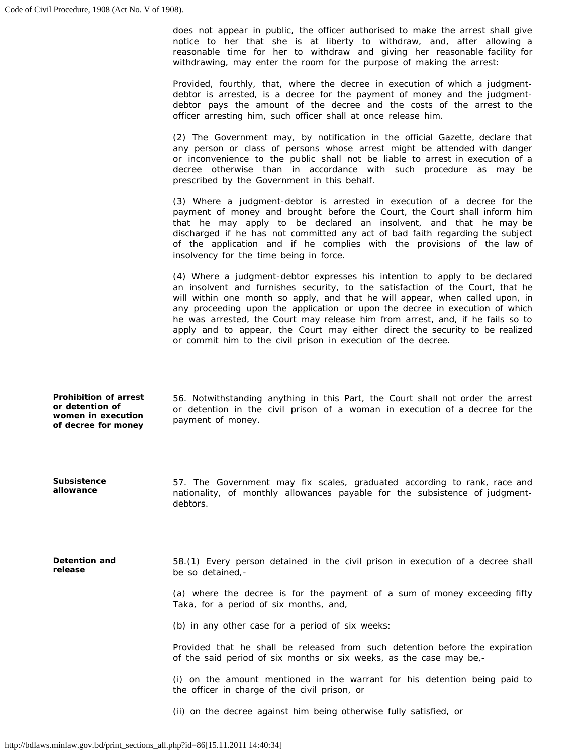**allowance** 

 does not appear in public, the officer authorised to make the arrest shall give reasonable time for her to withdraw and giving her reasonable facility for notice to her that she is at liberty to withdraw, and, after allowing a withdrawing, may enter the room for the purpose of making the arrest:

 Provided, fourthly, that, where the decree in execution of which a judgment- debtor is arrested, is a decree for the payment of money and the judgment- debtor pays the amount of the decree and the costs of the arrest to the officer arresting him, such officer shall at once release him.

 (2) The Government may, by notification in the official Gazette, declare that any person or class of persons whose arrest might be attended with danger or inconvenience to the public shall not be liable to arrest in execution of a decree otherwise than in accordance with such procedure as may be prescribed by the Government in this behalf.

 payment of money and brought before the Court, the Court shall inform him that he may apply to be declared an insolvent, and that he may be discharged if he has not committed any act of bad faith regarding the subject of the application and if he complies with the provisions of the law of (3) Where a judgment-debtor is arrested in execution of a decree for the insolvency for the time being in force.

 (4) Where a judgment-debtor expresses his intention to apply to be declared an insolvent and furnishes security, to the satisfaction of the Court, that he will within one month so apply, and that he will appear, when called upon, in any proceeding upon the application or upon the decree in execution of which he was arrested, the Court may release him from arrest, and, if he fails so to apply and to appear, the Court may either direct the security to be realized or commit him to the civil prison in execution of the decree.

| <b>Prohibition of arrest</b><br>or detention of<br>women in execution<br>of decree for money | 56. Notwithstanding anything in this Part, the Court shall not order the arrest<br>or detention in the civil prison of a woman in execution of a decree for the<br>payment of money. |  |  |  |  |  |
|----------------------------------------------------------------------------------------------|--------------------------------------------------------------------------------------------------------------------------------------------------------------------------------------|--|--|--|--|--|
|                                                                                              |                                                                                                                                                                                      |  |  |  |  |  |
| <b>Subsistence</b>                                                                           | 57. The Government may fix scales, graduated according to rank race and                                                                                                              |  |  |  |  |  |

 57. The Government may fix scales, graduated according to rank, race and nationality, of monthly allowances payable for the subsistence of judgmentdebtors.

 58.(1) Every person detained in the civil prison in execution of a decree shall **Detention and release**  be so detained,

> (a) where the decree is for the payment of a sum of money exceeding fifty Taka, for a period of six months, and,

(b) in any other case for a period of six weeks:

 Provided that he shall be released from such detention before the expiration of the said period of six months or six weeks, as the case may be,

 (i) on the amount mentioned in the warrant for his detention being paid to the officer in charge of the civil prison, or

(ii) on the decree against him being otherwise fully satisfied, or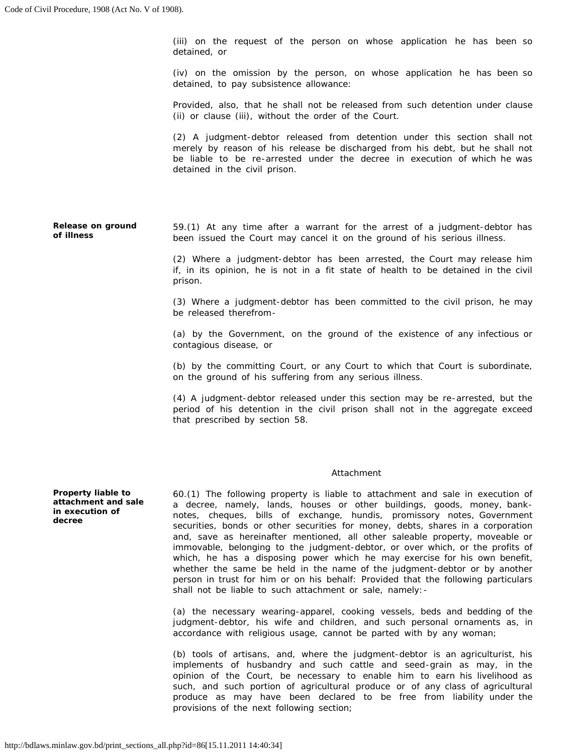(iii) on the request of the person on whose application he has been so detained, or

 (iv) on the omission by the person, on whose application he has been so detained, to pay subsistence allowance:

 Provided, also, that he shall not be released from such detention under clause (ii) or clause (iii), without the order of the Court.

 merely by reason of his release be discharged from his debt, but he shall not be liable to be re-arrested under the decree in execution of which he was (2) A judgment-debtor released from detention under this section shall not detained in the civil prison.

**Release on ground of illness**  59.(1) At any time after a warrant for the arrest of a judgment-debtor has been issued the Court may cancel it on the ground of his serious illness.

> (2) Where a judgment-debtor has been arrested, the Court may release him if, in its opinion, he is not in a fit state of health to be detained in the civil prison.

> (3) Where a judgment-debtor has been committed to the civil prison, he may be released therefrom

> (a) by the Government, on the ground of the existence of any infectious or contagious disease, or

> (b) by the committing Court, or any Court to which that Court is subordinate, on the ground of his suffering from any serious illness.

> (4) A judgment-debtor released under this section may be re-arrested, but the period of his detention in the civil prison shall not in the aggregate exceed that prescribed by section 58.

### *Attachment*

 60.(1) The following property is liable to attachment and sale in execution of a decree, namely, lands, houses or other buildings, goods, money, bank- notes, cheques, bills of exchange, hundis, promissory notes, Government securities, bonds or other securities for money, debts, shares in a corporation and, save as hereinafter mentioned, all other saleable property, moveable or immovable, belonging to the judgment-debtor, or over which, or the profits of which, he has a disposing power which he may exercise for his own benefit, whether the same be held in the name of the judgment-debtor or by another person in trust for him or on his behalf: Provided that the following particulars shall not be liable to such attachment or sale, namely:

 (a) the necessary wearing-apparel, cooking vessels, beds and bedding of the judgment-debtor, his wife and children, and such personal ornaments as, in accordance with religious usage, cannot be parted with by any woman;

 (b) tools of artisans, and, where the judgment-debtor is an agriculturist, his implements of husbandry and such cattle and seed-grain as may, in the opinion of the Court, be necessary to enable him to earn his livelihood as such, and such portion of agricultural produce or of any class of agricultural produce as may have been declared to be free from liability under the provisions of the next following section;

**Property liable to attachment and sale in execution of decree**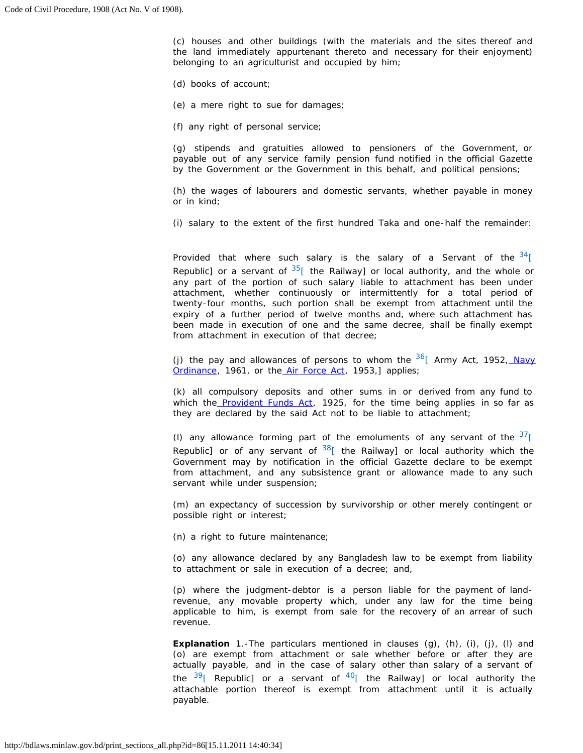(c) houses and other buildings (with the materials and the sites thereof and the land immediately appurtenant thereto and necessary for their enjoyment) belonging to an agriculturist and occupied by him;

(d) books of account;

(e) a mere right to sue for damages;

(f) any right of personal service;

 payable out of any service family pension fund notified in the official Gazette (g) stipends and gratuities allowed to pensioners of the Government, or by the Government or the Government in this behalf, and political pensions;

 (h) the wages of labourers and domestic servants, whether payable in money or in kind;

(i) salary to the extent of the first hundred Taka and one-half the remainder:

Republic] or a servant of  $35$ [ the Railway] or local authority, and the whole or twenty-four months, such portion shall be exempt from attachment until the expiry of a further period of twelve months and, where such attachment has been made in execution of one and the same decree, shall be finally exempt Provided that where such salary is the salary of a Servant of the  $34$ [ any part of the portion of such salary liable to attachment has been under attachment, whether continuously or intermittently for a total period of from attachment in execution of that decree;

(j) the pay and allowances of persons to whom the  $36$ <sup>[</sup> Army Act, 1952, Navy [Ordinance,](http://bdlaws.minlaw.gov.bd/pdf_part.php?id=310) 1961, or the [Air Force Act,](http://bdlaws.minlaw.gov.bd/pdf_part.php?id=256) 1953,] applies;

 (k) all compulsory deposits and other sums in or derived from any fund to which the [Provident Funds Act,](http://bdlaws.minlaw.gov.bd/pdf_part.php?id=136) 1925, for the time being applies in so far as they are declared by the said Act not to be liable to attachment;

(I) any allowance forming part of the emoluments of any servant of the  $37$ [ Government may by notification in the official Gazette declare to be exempt from attachment, and any subsistence grant or allowance made to any such Republic] or of any servant of  $38$ [ the Railway] or local authority which the servant while under suspension;

(m) an expectancy of succession by survivorship or other merely contingent or possible right or interest;

(n) a right to future maintenance;

 (o) any allowance declared by any Bangladesh law to be exempt from liability to attachment or sale in execution of a decree; and,

 (p) where the judgment-debtor is a person liable for the payment of land- revenue, any movable property which, under any law for the time being applicable to him, is exempt from sale for the recovery of an arrear of such revenue.

**Explanation** 1.-The particulars mentioned in clauses (g), (h), (i), (j), (l) and actually payable, and in the case of salary other than salary of a servant of the  $3^9$ [\[](http://bdlaws.minlaw.gov.bd/print_sections.php?id=86&vol=§ions_id=24418) Republic] or a servant of  $4^0$ [ the Railway] or local authority the (o) are exempt from attachment or sale whether before or after they are attachable portion thereof is exempt from attachment until it is actually payable.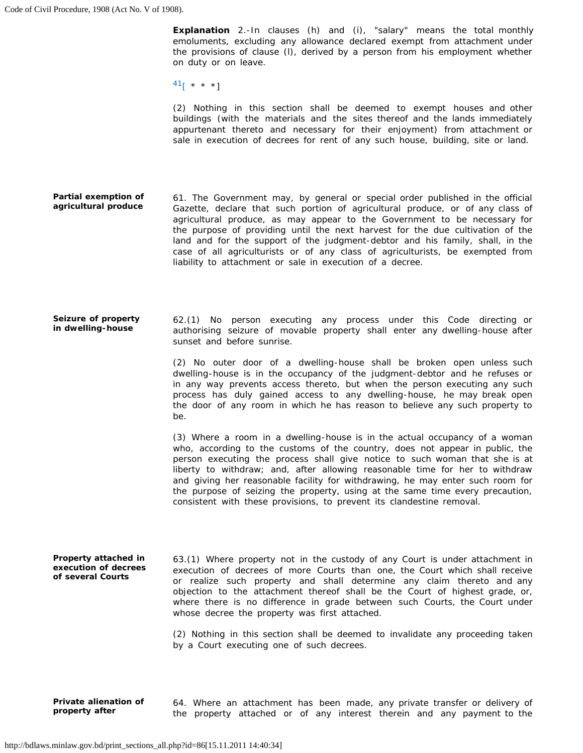**Explanation** 2.-In clauses (h) and (i), "salary" means the total monthly emoluments, excluding any allowance declared exempt from attachment under the provisions of clause (l), derived by a person from his employment whether on duty or on leave.

 $^{41}$ [ \* \* \*]

 (2) Nothing in this section shall be deemed to exempt houses and other buildings (with the materials and the sites thereof and the lands immediately appurtenant thereto and necessary for their enjoyment) from attachment or sale in execution of decrees for rent of any such house, building, site or land.

- 61. The Government may, by general or special order published in the official Gazette, declare that such portion of agricultural produce, or of any class of the purpose of providing until the next harvest for the due cultivation of the land and for the support of the judgment-debtor and his family, shall, in the **Partial exemption of agricultural produce**  agricultural produce, as may appear to the Government to be necessary for case of all agriculturists or of any class of agriculturists, be exempted from liability to attachment or sale in execution of a decree.
- 62.(1) No person executing any process under this Code directing or authorising seizure of movable property shall enter any dwelling-house after **Seizure of property in dwelling-house**  sunset and before sunrise.

 (2) No outer door of a dwelling-house shall be broken open unless such dwelling-house is in the occupancy of the judgment-debtor and he refuses or in any way prevents access thereto, but when the person executing any such process has duly gained access to any dwelling-house, he may break open the door of any room in which he has reason to believe any such property to be.

 (3) Where a room in a dwelling-house is in the actual occupancy of a woman who, according to the customs of the country, does not appear in public, the person executing the process shall give notice to such woman that she is at the purpose of seizing the property, using at the same time every precaution, liberty to withdraw; and, after allowing reasonable time for her to withdraw and giving her reasonable facility for withdrawing, he may enter such room for consistent with these provisions, to prevent its clandestine removal.

 63.(1) Where property not in the custody of any Court is under attachment in execution of decrees of more Courts than one, the Court which shall receive or realize such property and shall determine any claim thereto and any objection to the attachment thereof shall be the Court of highest grade, or, where there is no difference in grade between such Courts, the Court under (2) Nothing in this section shall be deemed to invalidate any proceeding taken **Property attached in execution of decrees of several Courts**  whose decree the property was first attached. by a Court executing one of such decrees.

 **Private alienation of** 64. Where an attachment has been made, any private transfer or delivery of property after **the property attached or of any interest** therein and any payment to the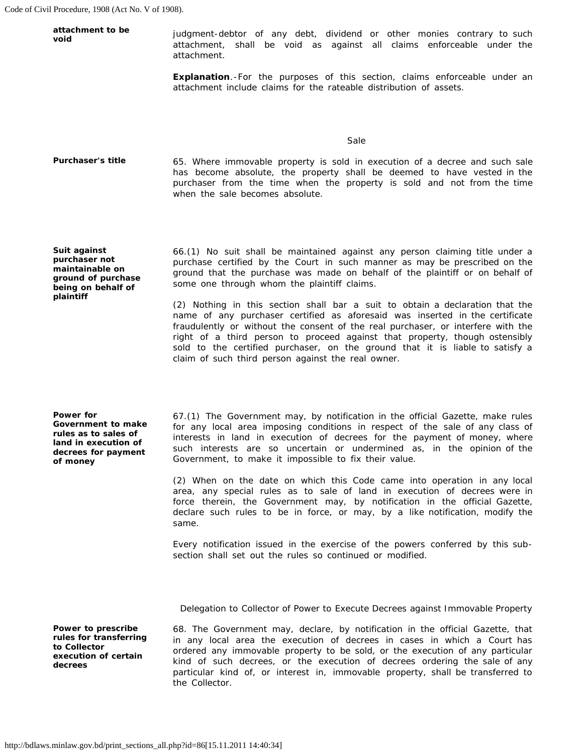| attachment to be<br>void | judgment-debtor of any debt, dividend or other monies contrary to such<br>attachment, shall be void as against all claims enforceable under the<br>attachment.                                                                                                       |
|--------------------------|----------------------------------------------------------------------------------------------------------------------------------------------------------------------------------------------------------------------------------------------------------------------|
|                          | <b>Explanation</b> For the purposes of this section, claims enforceable under an<br>attachment include claims for the rateable distribution of assets.                                                                                                               |
|                          | Sale                                                                                                                                                                                                                                                                 |
| <b>Purchaser's title</b> | 65. Where immovable property is sold in execution of a decree and such sale<br>has become absolute, the property shall be deemed to have vested in the<br>purchaser from the time when the property is sold and not from the time<br>when the sale becomes absolute. |

**Suit against purchaser not maintainable on ground of purchase being on behalf of plaintiff** 

**Power for Government to make rules as to sales of land in execution of decrees for payment of money** 

**to Collector** 

**decrees** 

 66.(1) No suit shall be maintained against any person claiming title under a purchase certified by the Court in such manner as may be prescribed on the ground that the purchase was made on behalf of the plaintiff or on behalf of some one through whom the plaintiff claims.

 (2) Nothing in this section shall bar a suit to obtain a declaration that the name of any purchaser certified as aforesaid was inserted in the certificate fraudulently or without the consent of the real purchaser, or interfere with the right of a third person to proceed against that property, though ostensibly sold to the certified purchaser, on the ground that it is liable to satisfy a claim of such third person against the real owner.

 67.(1) The Government may, by notification in the official Gazette, make rules for any local area imposing conditions in respect of the sale of any class of interests in land in execution of decrees for the payment of money, where such interests are so uncertain or undermined as, in the opinion of the Government, to make it impossible to fix their value.

 area, any special rules as to sale of land in execution of decrees were in force therein, the Government may, by notification in the official Gazette, declare such rules to be in force, or may, by a like notification, modify the (2) When on the date on which this Code came into operation in any local same.

 Every notification issued in the exercise of the powers conferred by this subsection shall set out the rules so continued or modified.

### *Delegation to Collector of Power to Execute Decrees against Immovable Property*

 68. The Government may, declare, by notification in the official Gazette, that ordered any immovable property to be sold, or the execution of any particular kind of such decrees, or the execution of decrees ordering the sale of any particular kind of, or interest in, immovable property, shall be transferred to **Power to prescribe rules for transferring execution of certain**  in any local area the execution of decrees in cases in which a Court has the Collector.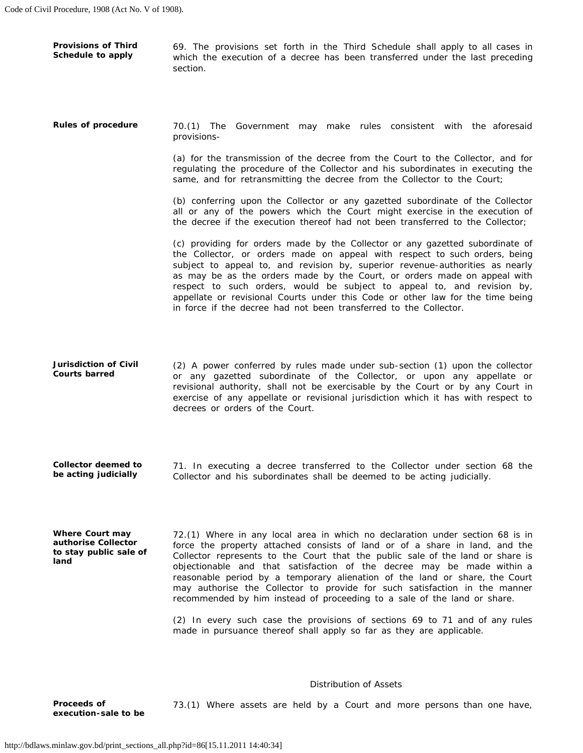**Provisions of Third** 69. The provisions set forth in the Third Schedule shall apply to all cases in **Schedule to apply** which the execution of a decree has been transferred under the last preceding section.

 **Rules of procedure** 70.(1) The Government may make rules consistent with the aforesaid provisions

> regulating the procedure of the Collector and his subordinates in executing the (a) for the transmission of the decree from the Court to the Collector, and for same, and for retransmitting the decree from the Collector to the Court;

> (b) conferring upon the Collector or any gazetted subordinate of the Collector all or any of the powers which the Court might exercise in the execution of the decree if the execution thereof had not been transferred to the Collector;

> (c) providing for orders made by the Collector or any gazetted subordinate of the Collector, or orders made on appeal with respect to such orders, being as may be as the orders made by the Court, or orders made on appeal with respect to such orders, would be subject to appeal to, and revision by, appellate or revisional Courts under this Code or other law for the time being subject to appeal to, and revision by, superior revenue-authorities as nearly in force if the decree had not been transferred to the Collector.

 **Jurisdiction of Civil** (2) A power conferred by rules made under sub-section (1) upon the collector revisional authority, shall not be exercisable by the Court or by any Court in exercise of any appellate or revisional jurisdiction which it has with respect to **Courts barred** or any gazetted subordinate of the Collector, or upon any appellate or decrees or orders of the Court.

**Collector deemed to** 71. In executing a decree transferred to the Collector under section 68 the **be acting judicially be acting judicially** Collector and his subordinates shall be deemed to be acting judicially.

 **Where Court may** 72.(1) Where in any local area in which no declaration under section 68 is in Collector represents to the Court that the public sale of the land or share is objectionable and that satisfaction of the decree may be made within a reasonable period by a temporary alienation of the land or share, the Court authorise Collector force the property attached consists of land or of a share in land, and the to stay public sale of Collector represents to the Court that the public sale of the land or share is may authorise the Collector to provide for such satisfaction in the manner recommended by him instead of proceeding to a sale of the land or share.

> (2) In every such case the provisions of sections 69 to 71 and of any rules made in pursuance thereof shall apply so far as they are applicable.

### *Distribution of Assets*

 **Proceeds of** 73.(1) Where assets are held by a Court and more persons than one have, **execution-sale to be**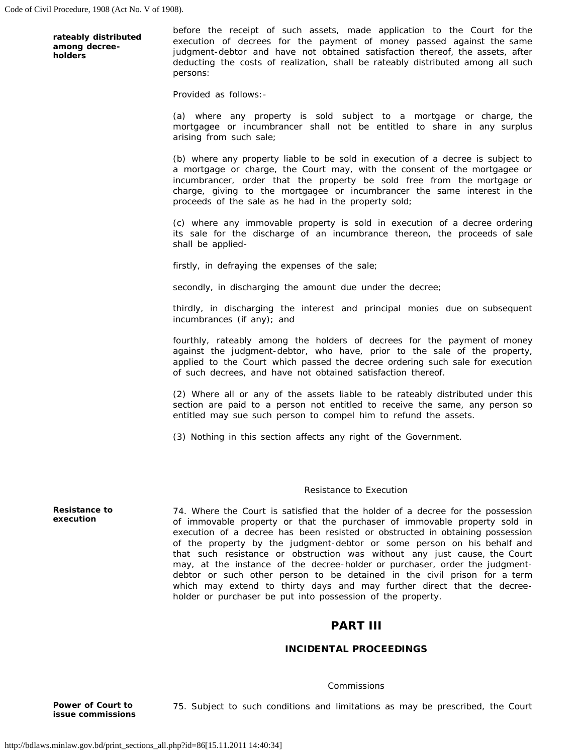**rateably distributed among decreeholders** 

 before the receipt of such assets, made application to the Court for the execution of decrees for the payment of money passed against the same judgment-debtor and have not obtained satisfaction thereof, the assets, after deducting the costs of realization, shall be rateably distributed among all such persons:

Provided as follows:

 (a) where any property is sold subject to a mortgage or charge, the mortgagee or incumbrancer shall not be entitled to share in any surplus arising from such sale;

 a mortgage or charge, the Court may, with the consent of the mortgagee or incumbrancer, order that the property be sold free from the mortgage or charge, giving to the mortgagee or incumbrancer the same interest in the (b) where any property liable to be sold in execution of a decree is subject to proceeds of the sale as he had in the property sold;

 (c) where any immovable property is sold in execution of a decree ordering its sale for the discharge of an incumbrance thereon, the proceeds of sale shall be applied-

firstly, in defraying the expenses of the sale;

secondly, in discharging the amount due under the decree;

 thirdly, in discharging the interest and principal monies due on subsequent incumbrances (if any); and

 fourthly, rateably among the holders of decrees for the payment of money applied to the Court which passed the decree ordering such sale for execution against the judgment-debtor, who have, prior to the sale of the property, of such decrees, and have not obtained satisfaction thereof.

 (2) Where all or any of the assets liable to be rateably distributed under this section are paid to a person not entitled to receive the same, any person so entitled may sue such person to compel him to refund the assets.

(3) Nothing in this section affects any right of the Government.

### *Resistance to Execution*

 execution of a decree has been resisted or obstructed in obtaining possession of the property by the judgment-debtor or some person on his behalf and that such resistance or obstruction was without any just cause, the Court may, at the instance of the decree-holder or purchaser, order the judgment- debtor or such other person to be detained in the civil prison for a term **Resistance to**  74. Where the Court is satisfied that the holder of a decree for the possession of immovable property or that the purchaser of immovable property sold in which may extend to thirty days and may further direct that the decreeholder or purchaser be put into possession of the property.

# PART III

# INCIDENTAL PROCEEDINGS

### *Commissions*

**issue commissions** 

**execution** 

Power of Court to **75.** Subject to such conditions and limitations as may be prescribed, the Court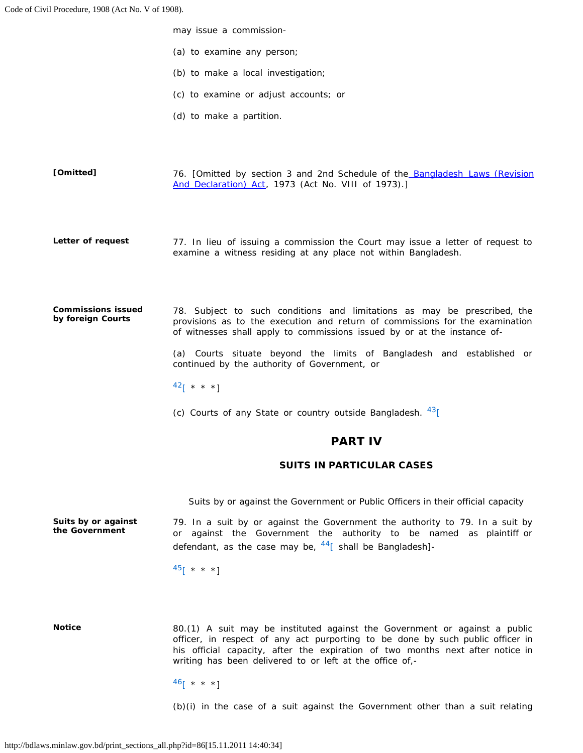may issue a commission

- (a) to examine any person;
- (b) to make a local investigation;
- (c) to examine or adjust accounts; or
- (d) to make a partition.

76. [Omitted by section 3 and 2nd Schedule of the **Bangladesh Laws (Revision [Omitted]**  [And Declaration\) Act,](http://bdlaws.minlaw.gov.bd/pdf_part.php?id=430) 1973 (Act No. VIII of 1973).]

 77. In lieu of issuing a commission the Court may issue a letter of request to **Letter of request**  examine a witness residing at any place not within Bangladesh.

 78. Subject to such conditions and limitations as may be prescribed, the provisions as to the execution and return of commissions for the examination **Commissions issued by foreign Courts**  of witnesses shall apply to commissions issued by or at the instance of

> (a) Courts situate beyond the limits of Bangladesh and established or continued by the authority of Government, or

 $^{42}$ [ \* \* \*]

(c) Courts of any State or country outside Bangladesh.  $43$ [

# PART IV

### SUITS IN PARTICULAR CASES

 *Suits by or against the Government or Public Officers in their official capacity* 

 79. In a suit by or against the Government the authority to 79. In a suit by or against the Government the authority to be named as plaintiff or **Suits by or against the Government**  defendant, as the case may be,  $44\overline{ }$  shall be Bangladesh]-

 $45$ [ \* \* \*]

**Notice** 

 officer, in respect of any act purporting to be done by such public officer in his official capacity, after the expiration of two months next after notice in 80.(1) A suit may be instituted against the Government or against a public writing has been delivered to or left at the office of,-

 $^{46}$ [ \* \* \*]

(b)(i) in the case of a suit against the Government other than a suit relating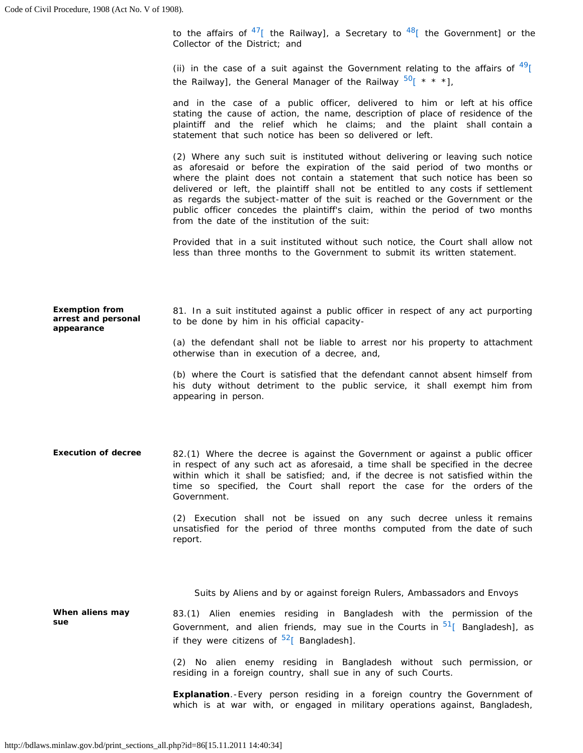to the affairs of  $^{47}$ [ the Railway], a Secretary to  $^{48}$ [ the Government] or the Collector of the District; and

(ii) in the case of a suit against the Government relating to the affairs of  $^{49}$ [ the Railway], the General Manager of the Railway  $50$ [ \* \* \*],

 and in the case of a public officer, delivered to him or left at his office stating the cause of action, the name, description of place of residence of the plaintiff and the relief which he claims; and the plaint shall contain a statement that such notice has been so delivered or left.

 (2) Where any such suit is instituted without delivering or leaving such notice as aforesaid or before the expiration of the said period of two months or where the plaint does not contain a statement that such notice has been so delivered or left, the plaintiff shall not be entitled to any costs if settlement as regards the subject-matter of the suit is reached or the Government or the public officer concedes the plaintiff's claim, within the period of two months from the date of the institution of the suit:

 Provided that in a suit instituted without such notice, the Court shall allow not less than three months to the Government to submit its written statement.

**Exemption from arrest and personal appearance**  81. In a suit instituted against a public officer in respect of any act purporting to be done by him in his official capacity

> (a) the defendant shall not be liable to arrest nor his property to attachment otherwise than in execution of a decree, and,

> his duty without detriment to the public service, it shall exempt him from (b) where the Court is satisfied that the defendant cannot absent himself from appearing in person.

 **Execution of decree** 82.(1) Where the decree is against the Government or against a public officer within which it shall be satisfied; and, if the decree is not satisfied within the time so specified, the Court shall report the case for the orders of the in respect of any such act as aforesaid, a time shall be specified in the decree Government.

> (2) Execution shall not be issued on any such decree unless it remains unsatisfied for the period of three months computed from the date of such report.

 *Suits by Aliens and by or against foreign Rulers, Ambassadors and Envoys* 

 **When aliens may** 83.(1) Alien enemies residing in Bangladesh with the permission of the **sue Government, and alien friends, may sue in the Courts in <sup>51</sup>[ Bangladesh], as** if they were citizens of  $52$ [ Bangladesh].

> (2) No alien enemy residing in Bangladesh without such permission, or residing in a foreign country, shall sue in any of such Courts.

> **Explanation**.-Every person residing in a foreign country the Government of which is at war with, or engaged in military operations against, Bangladesh,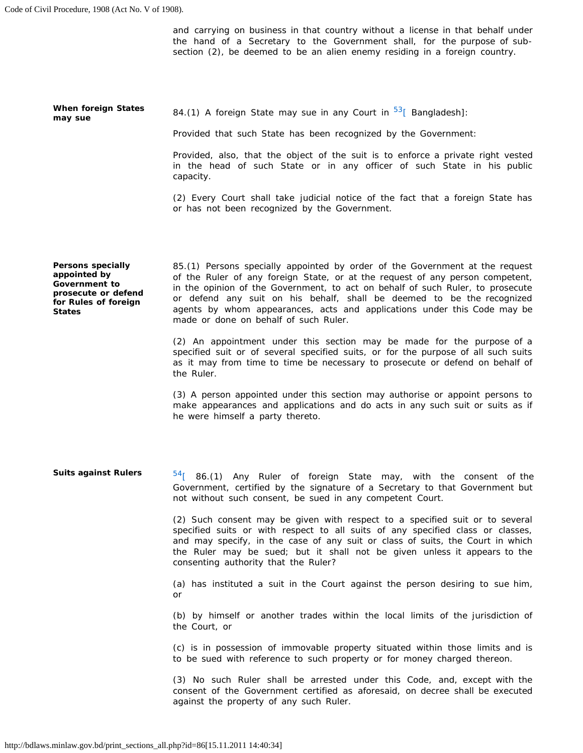the hand of a Secretary to the Government shall, for the purpose of suband carrying on business in that country without a license in that behalf under section (2), be deemed to be an alien enemy residing in a foreign country.

**When foreign States When foreign States** 84.(1) A foreign State may sue in any Court in <sup>53</sup>[ Bangladesh]:<br>may sue

Provided that such State has been recognized by the Government:

 Provided, also, that the object of the suit is to enforce a private right vested in the head of such State or in any officer of such State in his public capacity.

 (2) Every Court shall take judicial notice of the fact that a foreign State has or has not been recognized by the Government.

**Persons specially appointed by Government to prosecute or defend for Rules of foreign States** 

 85.(1) Persons specially appointed by order of the Government at the request of the Ruler of any foreign State, or at the request of any person competent, or defend any suit on his behalf, shall be deemed to be the recognized agents by whom appearances, acts and applications under this Code may be in the opinion of the Government, to act on behalf of such Ruler, to prosecute made or done on behalf of such Ruler.

 (2) An appointment under this section may be made for the purpose of a specified suit or of several specified suits, or for the purpose of all such suits as it may from time to time be necessary to prosecute or defend on behalf of the Ruler.

 make appearances and applications and do acts in any such suit or suits as if (3) A person appointed under this section may authorise or appoint persons to he were himself a party thereto.

**Suits against Rulers** 54<sub>[ 86.(1) Any Ruler of foreign State may, with the consent of the</sub> Government, certified by the signature of a Secretary to that Government but not without such consent, be sued in any competent Court.

> (2) Such consent may be given with respect to a specified suit or to several and may specify, in the case of any suit or class of suits, the Court in which the Ruler may be sued; but it shall not be given unless it appears to the specified suits or with respect to all suits of any specified class or classes, consenting authority that the Ruler?

> (a) has instituted a suit in the Court against the person desiring to sue him, or

> (b) by himself or another trades within the local limits of the jurisdiction of the Court, or

> (c) is in possession of immovable property situated within those limits and is to be sued with reference to such property or for money charged thereon.

> (3) No such Ruler shall be arrested under this Code, and, except with the consent of the Government certified as aforesaid, on decree shall be executed against the property of any such Ruler.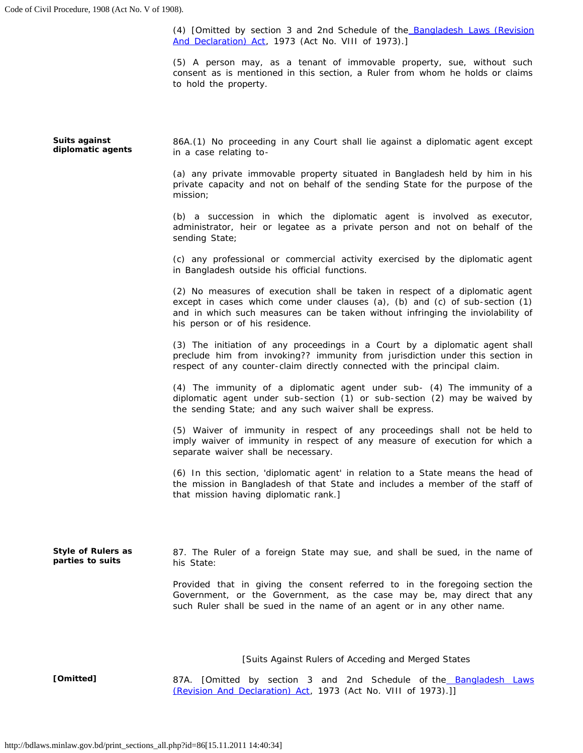(4) [Omitted by section 3 and 2nd Schedule of the **Bangladesh Laws (Revision** [And Declaration\) Act,](http://bdlaws.minlaw.gov.bd/pdf_part.php?id=430) 1973 (Act No. VIII of 1973).]

(5) A person may, as a tenant of immovable property, sue, without such consent as is mentioned in this section, a Ruler from whom he holds or claims to hold the property.

 86A.(1) No proceeding in any Court shall lie against a diplomatic agent except (a) any private immovable property situated in Bangladesh held by him in his private capacity and not on behalf of the sending State for the purpose of the (c) any professional or commercial activity exercised by the diplomatic agent (2) No measures of execution shall be taken in respect of a diplomatic agent except in cases which come under clauses (a), (b) and (c) of sub-section (1) (3) The initiation of any proceedings in a Court by a diplomatic agent shall preclude him from invoking?? immunity from jurisdiction under this section in (4) The immunity of a diplomatic agent under sub- (4) The immunity of a diplomatic agent under sub-section (1) or sub-section (2) may be waived by (5) Waiver of immunity in respect of any proceedings shall not be held to imply waiver of immunity in respect of any measure of execution for which a (6) In this section, 'diplomatic agent' in relation to a State means the head of 87. The Ruler of a foreign State may sue, and shall be sued, in the name of Provided that in giving the consent referred to in the foregoing section the Government, or the Government, as the case may be, may direct that any  *[Suits Against Rulers of Acceding and Merged States*  **Suits against diplomatic agents Style of Rulers as parties to suits**  in a case relating to mission; (b) a succession in which the diplomatic agent is involved as executor, administrator, heir or legatee as a private person and not on behalf of the sending State; in Bangladesh outside his official functions. and in which such measures can be taken without infringing the inviolability of his person or of his residence. respect of any counter-claim directly connected with the principal claim. the sending State; and any such waiver shall be express. separate waiver shall be necessary. the mission in Bangladesh of that State and includes a member of the staff of that mission having diplomatic rank.] his State: such Ruler shall be sued in the name of an agent or in any other name. **[Omitted]** 87A. [Omitted by section 3 and 2nd Schedule of the [Bangladesh Laws](http://bdlaws.minlaw.gov.bd/pdf_part.php?id=430)  [\(Revision And Declaration\) Act,](http://bdlaws.minlaw.gov.bd/pdf_part.php?id=430) 1973 (Act No. VIII of 1973).]]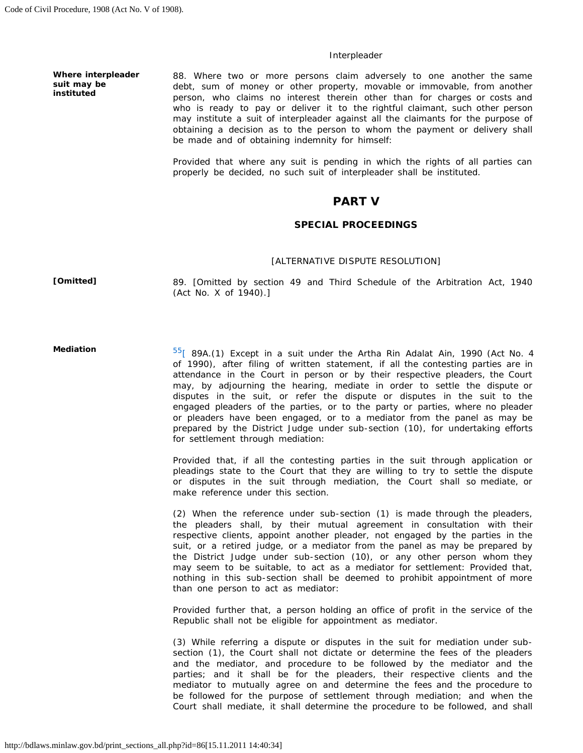### *Interpleader*

**Where interpleader suit may be instituted** 

 88. Where two or more persons claim adversely to one another the same debt, sum of money or other property, movable or immovable, from another person, who claims no interest therein other than for charges or costs and who is ready to pay or deliver it to the rightful claimant, such other person obtaining a decision as to the person to whom the payment or delivery shall may institute a suit of interpleader against all the claimants for the purpose of be made and of obtaining indemnity for himself:

 Provided that where any suit is pending in which the rights of all parties can properly be decided, no such suit of interpleader shall be instituted.

## PART V

### SPECIAL PROCEEDINGS

#### *[ALTERNATIVE DISPUTE RESOLUTION]*

**[Omitted]** 

89. [Omitted by section 49 and Third Schedule of the Arbitration Act, 1940 (Act No. X of 1940).]

**Mediation** 

 $55$ [ 89A.(1) Except in a suit under the Artha Rin Adalat Ain, 1990 (Act No. 4 of 1990), after filing of written statement, if all the contesting parties are in attendance in the Court in person or by their respective pleaders, the Court disputes in the suit, or refer the dispute or disputes in the suit to the engaged pleaders of the parties, or to the party or parties, where no pleader or pleaders have been engaged, or to a mediator from the panel as may be prepared by the District Judge under sub-section (10), for undertaking efforts may, by adjourning the hearing, mediate in order to settle the dispute or for settlement through mediation:

 pleadings state to the Court that they are willing to try to settle the dispute or disputes in the suit through mediation, the Court shall so mediate, or Provided that, if all the contesting parties in the suit through application or make reference under this section.

 (2) When the reference under sub-section (1) is made through the pleaders, respective clients, appoint another pleader, not engaged by the parties in the suit, or a retired judge, or a mediator from the panel as may be prepared by may seem to be suitable, to act as a mediator for settlement: Provided that, nothing in this sub-section shall be deemed to prohibit appointment of more the pleaders shall, by their mutual agreement in consultation with their the District Judge under sub-section (10), or any other person whom they than one person to act as mediator:

 Provided further that, a person holding an office of profit in the service of the Republic shall not be eligible for appointment as mediator.

 (3) While referring a dispute or disputes in the suit for mediation under sub- section (1), the Court shall not dictate or determine the fees of the pleaders parties; and it shall be for the pleaders, their respective clients and the mediator to mutually agree on and determine the fees and the procedure to Court shall mediate, it shall determine the procedure to be followed, and shall and the mediator, and procedure to be followed by the mediator and the be followed for the purpose of settlement through mediation; and when the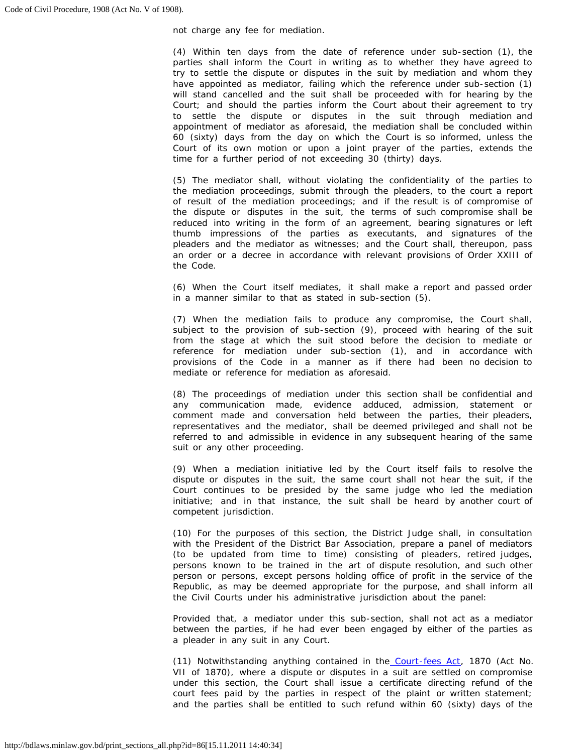not charge any fee for mediation.

 (4) Within ten days from the date of reference under sub-section (1), the parties shall inform the Court in writing as to whether they have agreed to try to settle the dispute or disputes in the suit by mediation and whom they have appointed as mediator, failing which the reference under sub-section (1) will stand cancelled and the suit shall be proceeded with for hearing by the Court; and should the parties inform the Court about their agreement to try to settle the dispute or disputes in the suit through mediation and appointment of mediator as aforesaid, the mediation shall be concluded within 60 (sixty) days from the day on which the Court is so informed, unless the Court of its own motion or upon a joint prayer of the parties, extends the time for a further period of not exceeding 30 (thirty) days.

 (5) The mediator shall, without violating the confidentiality of the parties to the mediation proceedings, submit through the pleaders, to the court a report of result of the mediation proceedings; and if the result is of compromise of the dispute or disputes in the suit, the terms of such compromise shall be reduced into writing in the form of an agreement, bearing signatures or left pleaders and the mediator as witnesses; and the Court shall, thereupon, pass an order or a decree in accordance with relevant provisions of Order XXIII of thumb impressions of the parties as executants, and signatures of the the Code.

 (6) When the Court itself mediates, it shall make a report and passed order in a manner similar to that as stated in sub-section (5).

 subject to the provision of sub-section (9), proceed with hearing of the suit reference for mediation under sub-section (1), and in accordance with provisions of the Code in a manner as if there had been no decision to (7) When the mediation fails to produce any compromise, the Court shall, from the stage at which the suit stood before the decision to mediate or mediate or reference for mediation as aforesaid.

 (8) The proceedings of mediation under this section shall be confidential and comment made and conversation held between the parties, their pleaders, representatives and the mediator, shall be deemed privileged and shall not be referred to and admissible in evidence in any subsequent hearing of the same any communication made, evidence adduced, admission, statement or suit or any other proceeding.

 (9) When a mediation initiative led by the Court itself fails to resolve the dispute or disputes in the suit, the same court shall not hear the suit, if the initiative; and in that instance, the suit shall be heard by another court of Court continues to be presided by the same judge who led the mediation competent jurisdiction.

 (10) For the purposes of this section, the District Judge shall, in consultation (to be updated from time to time) consisting of pleaders, retired judges, persons known to be trained in the art of dispute resolution, and such other person or persons, except persons holding office of profit in the service of the Republic, as may be deemed appropriate for the purpose, and shall inform all with the President of the District Bar Association, prepare a panel of mediators the Civil Courts under his administrative jurisdiction about the panel:

 Provided that, a mediator under this sub-section, shall not act as a mediator between the parties, if he had ever been engaged by either of the parties as a pleader in any suit in any Court.

(11) Notwithstanding anything contained in the **Court-fees Act**, 1870 (Act No. VII of 1870), where a dispute or disputes in a suit are settled on compromise court fees paid by the parties in respect of the plaint or written statement; and the parties shall be entitled to such refund within 60 (sixty) days of the under this section, the Court shall issue a certificate directing refund of the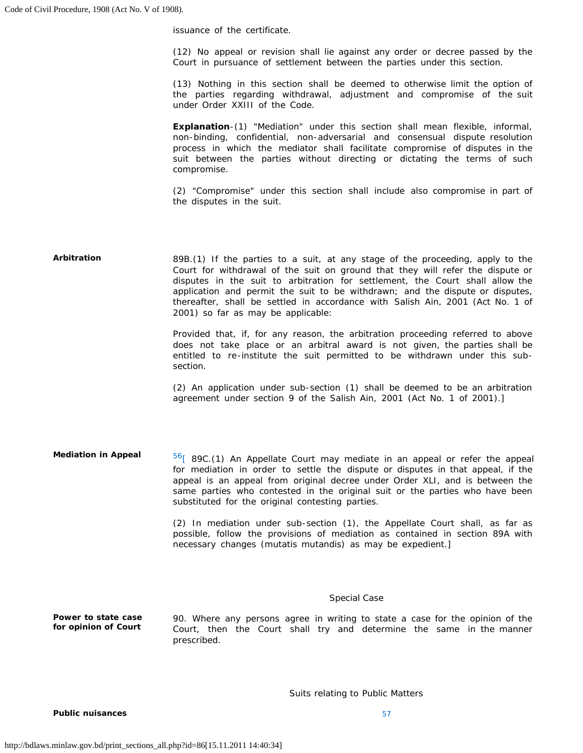issuance of the certificate.

 (12) No appeal or revision shall lie against any order or decree passed by the Court in pursuance of settlement between the parties under this section.

 (13) Nothing in this section shall be deemed to otherwise limit the option of the parties regarding withdrawal, adjustment and compromise of the suit under Order XXIII of the Code.

 process in which the mediator shall facilitate compromise of disputes in the suit between the parties without directing or dictating the terms of such **Explanation**-(1) "Mediation" under this section shall mean flexible, informal, non-binding, confidential, non-adversarial and consensual dispute resolution compromise.

 (2) "Compromise" under this section shall include also compromise in part of the disputes in the suit.

### 89B.(1) If the parties to a suit, at any stage of the proceeding, apply to the Court for withdrawal of the suit on ground that they will refer the dispute or disputes in the suit to arbitration for settlement, the Court shall allow the application and permit the suit to be withdrawn; and the dispute or disputes, thereafter, shall be settled in accordance with Salish Ain, 2001 (Act No. 1 of **Arbitration**  2001) so far as may be applicable:

 Provided that, if, for any reason, the arbitration proceeding referred to above does not take place or an arbitral award is not given, the parties shall be entitled to re-institute the suit permitted to be withdrawn under this subsection.

 (2) An application under sub-section (1) shall be deemed to be an arbitration agreement under section 9 of the Salish Ain, 2001 (Act No. 1 of 2001).]

 $56$ [ 89C.(1) An Appellate Court may mediate in an appeal or refer the appeal for mediation in order to settle the dispute or disputes in that appeal, if the appeal is an appeal from original decree under Order XLI, and is between the same parties who contested in the original suit or the parties who have been **Mediation in Appeal**  substituted for the original contesting parties.

> possible, follow the provisions of mediation as contained in section 89A with (2) In mediation under sub-section (1), the Appellate Court shall, as far as necessary changes (mutatis mutandis) as may be expedient.]

### *Special Case*

 90. Where any persons agree in writing to state a case for the opinion of the Court, then the Court shall try and determine the same in the manner **Power to state case for opinion of Court**  prescribed.

 *Suits relating to Public Matters* 

**Public nuisances**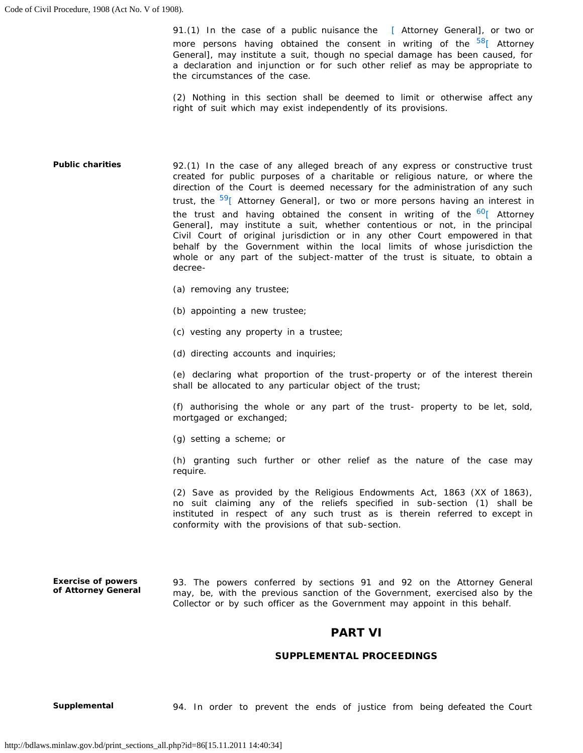91.(1) In the case of a public nuisance the [\[](http://bdlaws.minlaw.gov.bd/print_sections.php?id=86&vol=§ions_id=15241) Attorney General], or two or more persons having obtained the consent in writing of the  $58$ <sup>[\[](http://bdlaws.minlaw.gov.bd/print_sections.php?id=86&vol=§ions_id=15241)</sup> Attorney a declaration and injunction or for such other relief as may be appropriate to General], may institute a suit, though no special damage has been caused, for the circumstances of the case.

(2) Nothing in this section shall be deemed to limit or otherwise affect any right of suit which may exist independently of its provisions.

 92.(1) In the case of any alleged breach of any express or constructive trust created for public purposes of a charitable or religious nature, or where the direction of the Court is deemed necessary for the administration of any such trust, the <sup>59</sup>[ Attorney General], or two or more persons having an interest in the trust and having obtained the consent in writing of the  $60$ <sup>[</sup> Attorney Civil Court of original jurisdiction or in any other Court empowered in that behalf by the Government within the local limits of whose jurisdiction the whole or any part of the subject-matter of the trust is situate, to obtain a **Public charities**  General], may institute a suit, whether contentious or not, in the principal decree

- (a) removing any trustee;
- (b) appointing a new trustee;
- (c) vesting any property in a trustee;
- (d) directing accounts and inquiries;

 (e) declaring what proportion of the trust-property or of the interest therein shall be allocated to any particular object of the trust;

 (f) authorising the whole or any part of the trust- property to be let, sold, mortgaged or exchanged;

(g) setting a scheme; or

 (h) granting such further or other relief as the nature of the case may require.

 (2) Save as provided by the Religious Endowments Act, 1863 (XX of 1863), instituted in respect of any such trust as is therein referred to except in no suit claiming any of the reliefs specified in sub-section (1) shall be conformity with the provisions of that sub-section.

 may, be, with the previous sanction of the Government, exercised also by the **Exercise of powers of Attorney General**  93. The powers conferred by sections 91 and 92 on the Attorney General Collector or by such officer as the Government may appoint in this behalf.

# PART VI

### SUPPLEMENTAL PROCEEDINGS

**Supplemental** 94. In order to prevent the ends of justice from being defeated the Court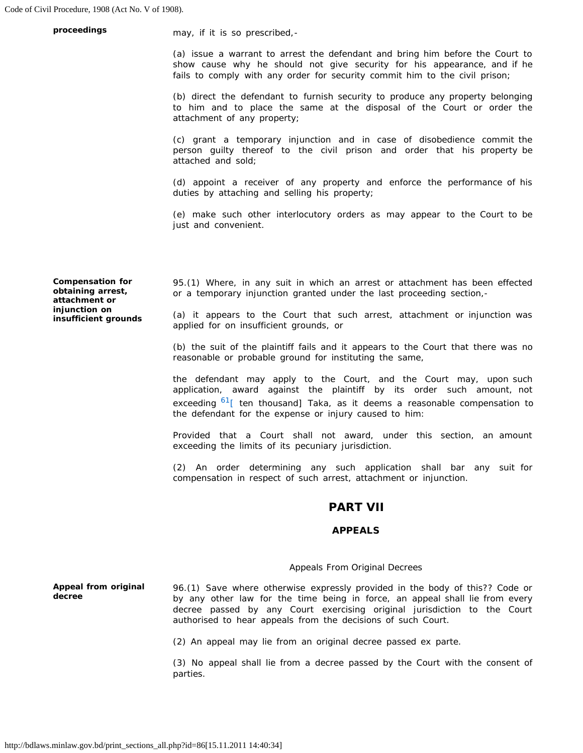**proceedings may**, if it is so prescribed,-

 (a) issue a warrant to arrest the defendant and bring him before the Court to show cause why he should not give security for his appearance, and if he fails to comply with any order for security commit him to the civil prison;

 (b) direct the defendant to furnish security to produce any property belonging to him and to place the same at the disposal of the Court or order the attachment of any property;

 (c) grant a temporary injunction and in case of disobedience commit the person guilty thereof to the civil prison and order that his property be attached and sold;

 (d) appoint a receiver of any property and enforce the performance of his duties by attaching and selling his property;

 (e) make such other interlocutory orders as may appear to the Court to be just and convenient.

**Compensation for obtaining arrest, attachment or injunction on insufficient grounds** 

 95.(1) Where, in any suit in which an arrest or attachment has been effected or a temporary injunction granted under the last proceeding section,

 (a) it appears to the Court that such arrest, attachment or injunction was applied for on insufficient grounds, or

(b) the suit of the plaintiff fails and it appears to the Court that there was no reasonable or probable ground for instituting the same,

 application, award against the plaintiff by its order such amount, not exceeding <sup>61</sup>[ ten thousand] Taka, as it deems a reasonable compensation to the defendant may apply to the Court, and the Court may, upon such the defendant for the expense or injury caused to him:

Provided that a Court shall not award, under this section, an amount exceeding the limits of its pecuniary jurisdiction.

 (2) An order determining any such application shall bar any suit for compensation in respect of such arrest, attachment or injunction.

# PART VII

### APPEALS

### *Appeals From Original Decrees*

 96.(1) Save where otherwise expressly provided in the body of this?? Code or by any other law for the time being in force, an appeal shall lie from every **Appeal from original decree**  decree passed by any Court exercising original jurisdiction to the Court authorised to hear appeals from the decisions of such Court.

(2) An appeal may lie from an original decree passed ex parte.

 (3) No appeal shall lie from a decree passed by the Court with the consent of parties.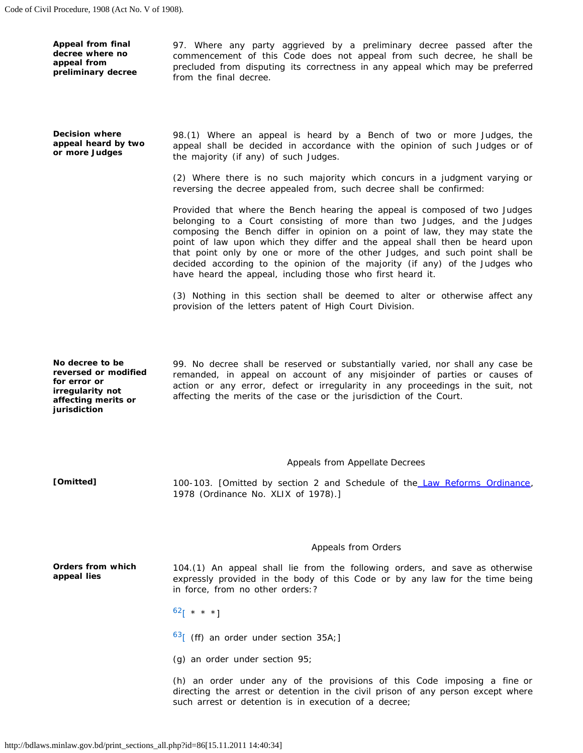**Appeal from final decree where no appeal from preliminary decree** 

 97. Where any party aggrieved by a preliminary decree passed after the commencement of this Code does not appeal from such decree, he shall be precluded from disputing its correctness in any appeal which may be preferred from the final decree.

**Decision where appeal heard by two or more Judges** 

 98.(1) Where an appeal is heard by a Bench of two or more Judges, the appeal shall be decided in accordance with the opinion of such Judges or of the majority (if any) of such Judges.

 (2) Where there is no such majority which concurs in a judgment varying or reversing the decree appealed from, such decree shall be confirmed:

 Provided that where the Bench hearing the appeal is composed of two Judges belonging to a Court consisting of more than two Judges, and the Judges composing the Bench differ in opinion on a point of law, they may state the point of law upon which they differ and the appeal shall then be heard upon that point only by one or more of the other Judges, and such point shall be decided according to the opinion of the majority (if any) of the Judges who have heard the appeal, including those who first heard it.

 (3) Nothing in this section shall be deemed to alter or otherwise affect any provision of the letters patent of High Court Division.

**No decree to be reversed or modified for error or irregularity not affecting merits or jurisdiction** 

 99. No decree shall be reserved or substantially varied, nor shall any case be action or any error, defect or irregularity in any proceedings in the suit, not remanded, in appeal on account of any misjoinder of parties or causes of affecting the merits of the case or the jurisdiction of the Court.

#### *Appeals from Appellate Decrees*

100-103. [Omitted by section 2 and Schedule of the [Law Reforms Ordinance,](http://bdlaws.minlaw.gov.bd/pdf_part.php?id=579) **[Omitted]**  1978 (Ordinance No. XLIX of 1978).]

#### *Appeals from Orders*

 104.(1) An appeal shall lie from the following orders, and save as otherwise expressly provided in the body of this Code or by any law for the time being **Orders from which appeal lies**  in force, from no other orders:?

 $62$ [ \* \* \*]

 $63$ [ (ff) an order under section 35A;]

(g) an order under section 95;

 directing the arrest or detention in the civil prison of any person except where (h) an order under any of the provisions of this Code imposing a fine or such arrest or detention is in execution of a decree;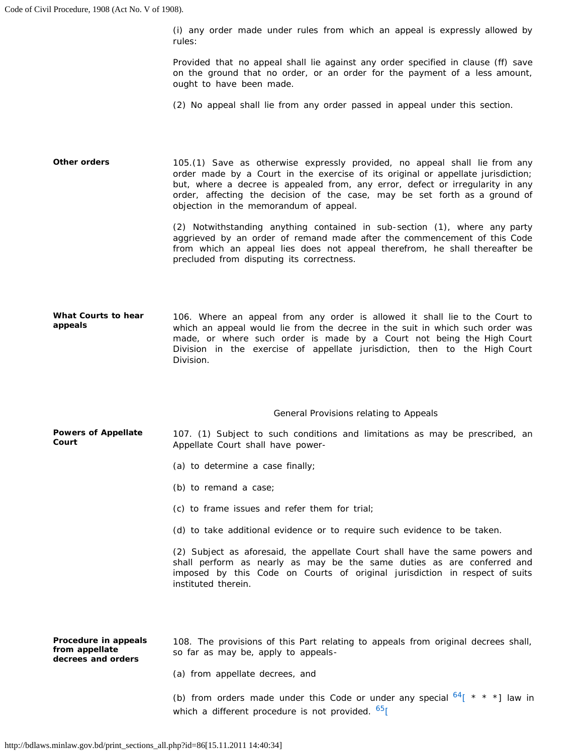(i) any order made under rules from which an appeal is expressly allowed by rules:

 Provided that no appeal shall lie against any order specified in clause (ff) save on the ground that no order, or an order for the payment of a less amount, ought to have been made.

(2) No appeal shall lie from any order passed in appeal under this section.

 105.(1) Save as otherwise expressly provided, no appeal shall lie from any order made by a Court in the exercise of its original or appellate jurisdiction; but, where a decree is appealed from, any error, defect or irregularity in any order, affecting the decision of the case, may be set forth as a ground of **Other orders**  objection in the memorandum of appeal.

> aggrieved by an order of remand made after the commencement of this Code from which an appeal lies does not appeal therefrom, he shall thereafter be (2) Notwithstanding anything contained in sub-section (1), where any party precluded from disputing its correctness.

 106. Where an appeal from any order is allowed it shall lie to the Court to made, or where such order is made by a Court not being the High Court Division in the exercise of appellate jurisdiction, then to the High Court **What Courts to hear appeals**  which an appeal would lie from the decree in the suit in which such order was Division.

### *General Provisions relating to Appeals*

 107. (1) Subject to such conditions and limitations as may be prescribed, an **Powers of Appellate Court**  Appellate Court shall have power

- (a) to determine a case finally;
- (b) to remand a case;
- (c) to frame issues and refer them for trial;
- (d) to take additional evidence or to require such evidence to be taken.

 (2) Subject as aforesaid, the appellate Court shall have the same powers and imposed by this Code on Courts of original jurisdiction in respect of suits shall perform as nearly as may be the same duties as are conferred and instituted therein.

**Procedure in appeals from appellate decrees and orders**  108. The provisions of this Part relating to appeals from original decrees shall, so far as may be, apply to appeals

(a) from appellate decrees, and

(b) from orders made under this Code or under any special  $64$ [ \* \* \*] law in which a different procedure is not provided.  $65$ [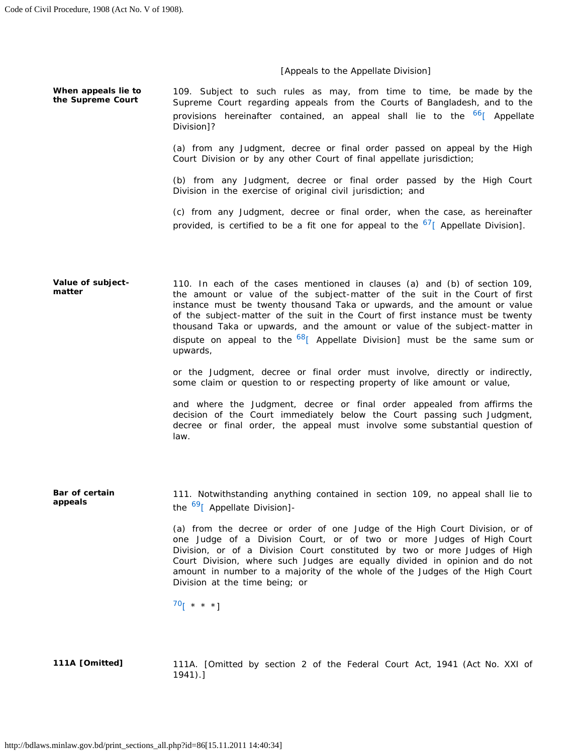### *[Appeals to the Appellate Division]*

 109. Subject to such rules as may, from time to time, be made by the Supreme Court regarding appeals from the Courts of Bangladesh, and to the **When appeals lie to the Supreme Court**  provisions hereinafter contained, an appeal shall lie to the <sup>[66](http://bdlaws.minlaw.gov.bd/print_sections.php?id=86&vol=§ions_id=15340)</sup>[\[](http://bdlaws.minlaw.gov.bd/print_sections.php?id=86&vol=§ions_id=15340) Appellate Division]?

> (a) from any Judgment, decree or final order passed on appeal by the High Court Division or by any other Court of final appellate jurisdiction;

> (b) from any Judgment, decree or final order passed by the High Court Division in the exercise of original civil jurisdiction; and

> (c) from any Judgment, decree or final order, when the case, as hereinafter provided, is certified to be a fit one for appeal to the  $^{67}$ [ Appellate Division].

 110. In each of the cases mentioned in clauses (a) and (b) of section 109, the amount or value of the subject-matter of the suit in the Court of first instance must be twenty thousand Taka or upwards, and the amount or value of the subject-matter of the suit in the Court of first instance must be twenty thousand Taka or upwards, and the amount or value of the subject-matter in dispute on appeal to the <sup>68</sup>[ Appellate Division] must be the same sum or **Value of subjectmatter**  upwards,

> or the Judgment, decree or final order must involve, directly or indirectly, some claim or question to or respecting property of like amount or value,

> and where the Judgment, decree or final order appealed from affirms the decision of the Court immediately below the Court passing such Judgment, decree or final order, the appeal must involve some substantial question of law.

 111. Notwithstanding anything contained in section 109, no appeal shall lie to the <sup>69</sup>[ Appellate Division]-**Bar of certain appeals** 

> (a) from the decree or order of one Judge of the High Court Division, or of one Judge of a Division Court, or of two or more Judges of High Court Division, or of a Division Court constituted by two or more Judges of High Court Division, where such Judges are equally divided in opinion and do not amount in number to a majority of the whole of the Judges of the High Court Division at the time being; or

 $70$ [ \* \* \*]

 **111A [Omitted]** 111A. [Omitted by section 2 of the Federal Court Act, 1941 (Act No. XXI of 1941).]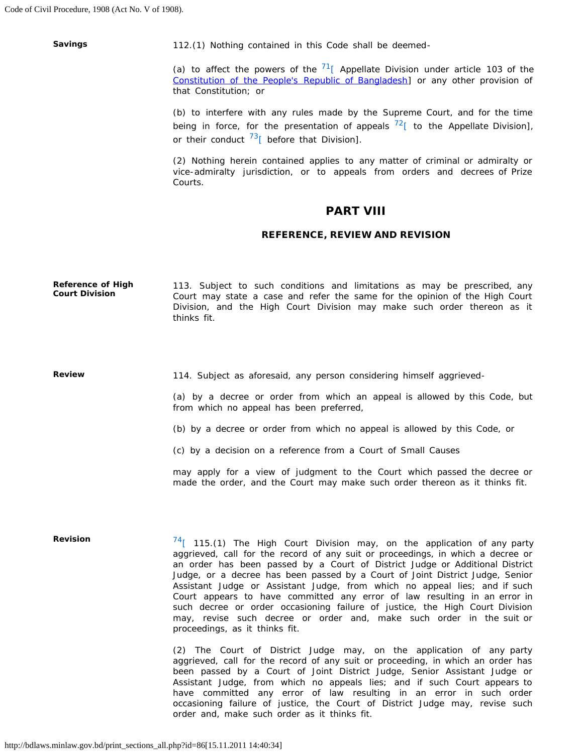**Savings** 

112.(1) Nothing contained in this Code shall be deemed

(a) to affect the powers of the  $71$ <sup>[</sup> Appellate Division under article 103 of the [Constitution of the People's Republic of Bangladesh\]](http://bdlaws.minlaw.gov.bd/pdf_part.php?id=367) or any other provision of that Constitution; or

 (b) to interfere with any rules made by the Supreme Court, and for the time being in force, for the presentation of appeals  $^{72}$ [ to the Appellate Division], or their conduct  $^{73}$ [ before that Division].

 (2) Nothing herein contained applies to any matter of criminal or admiralty or vice-admiralty jurisdiction, or to appeals from orders and decrees of Prize Courts.

# PART VIII

### REFERENCE, REVIEW AND REVISION

 Court may state a case and refer the same for the opinion of the High Court **Reference of High Court Division**  113. Subject to such conditions and limitations as may be prescribed, any Division, and the High Court Division may make such order thereon as it thinks fit.

**Review** 

114. Subject as aforesaid, any person considering himself aggrieved

 (a) by a decree or order from which an appeal is allowed by this Code, but from which no appeal has been preferred,

(b) by a decree or order from which no appeal is allowed by this Code, or

(c) by a decision on a reference from a Court of Small Causes

 may apply for a view of judgment to the Court which passed the decree or made the order, and the Court may make such order thereon as it thinks fit.

**Revision** 

 $74$ [ 115.(1) The High Court Division may, on the application of any party aggrieved, call for the record of any suit or proceedings, in which a decree or an order has been passed by a Court of District Judge or Additional District Judge, or a decree has been passed by a Court of Joint District Judge, Senior Assistant Judge or Assistant Judge, from which no appeal lies; and if such Court appears to have committed any error of law resulting in an error in such decree or order occasioning failure of justice, the High Court Division may, revise such decree or order and, make such order in the suit or proceedings, as it thinks fit.

 aggrieved, call for the record of any suit or proceeding, in which an order has Assistant Judge, from which no appeals lies; and if such Court appears to (2) The Court of District Judge may, on the application of any party been passed by a Court of Joint District Judge, Senior Assistant Judge or have committed any error of law resulting in an error in such order occasioning failure of justice, the Court of District Judge may, revise such order and, make such order as it thinks fit.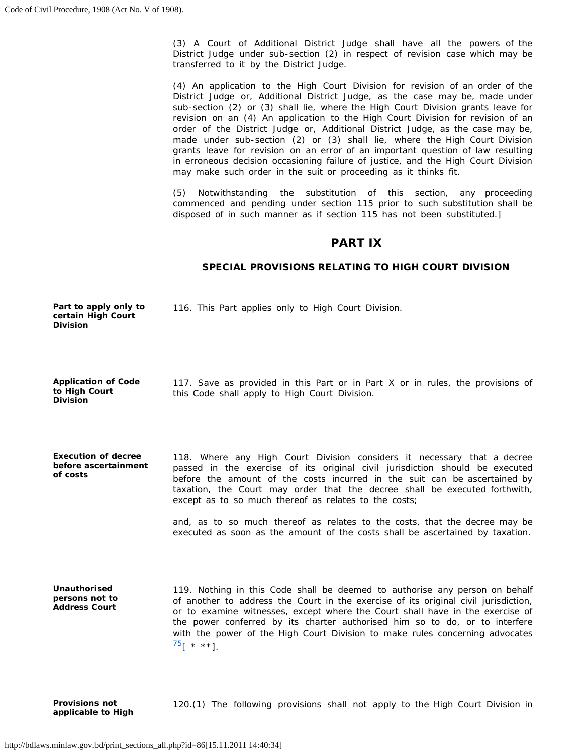(3) A Court of Additional District Judge shall have all the powers of the District Judge under sub-section (2) in respect of revision case which may be transferred to it by the District Judge.

 (4) An application to the High Court Division for revision of an order of the District Judge or, Additional District Judge, as the case may be, made under sub-section (2) or (3) shall lie, where the High Court Division grants leave for revision on an (4) An application to the High Court Division for revision of an order of the District Judge or, Additional District Judge, as the case may be, made under sub-section (2) or (3) shall lie, where the High Court Division grants leave for revision on an error of an important question of law resulting in erroneous decision occasioning failure of justice, and the High Court Division may make such order in the suit or proceeding as it thinks fit.

 (5) Notwithstanding the substitution of this section, any proceeding commenced and pending under section 115 prior to such substitution shall be disposed of in such manner as if section 115 has not been substituted.]

# PART IX

# SPECIAL PROVISIONS RELATING TO HIGH COURT DIVISION

| Part to apply only to |  |  |  |  | 116. This Part applies only to High Court Division. |  |
|-----------------------|--|--|--|--|-----------------------------------------------------|--|
| certain High Court    |  |  |  |  |                                                     |  |
| <b>Division</b>       |  |  |  |  |                                                     |  |

 117. Save as provided in this Part or in Part X or in rules, the provisions of **Application of Code to High Court Division**  this Code shall apply to High Court Division.

 118. Where any High Court Division considers it necessary that a decree passed in the exercise of its original civil jurisdiction should be executed before the amount of the costs incurred in the suit can be ascertained by taxation, the Court may order that the decree shall be executed forthwith, **Execution of decree before ascertainment of costs**  except as to so much thereof as relates to the costs;

> and, as to so much thereof as relates to the costs, that the decree may be executed as soon as the amount of the costs shall be ascertained by taxation.

 119. Nothing in this Code shall be deemed to authorise any person on behalf of another to address the Court in the exercise of its original civil jurisdiction, or to examine witnesses, except where the Court shall have in the exercise of with the power of the High Court Division to make rules concerning advocates  $^{75}$ [ \* \*\*]. **Unauthorised persons not to Address Court**  the power conferred by its charter authorised him so to do, or to interfere

 **Provisions not** 120.(1) The following provisions shall not apply to the High Court Division in **applicable to High**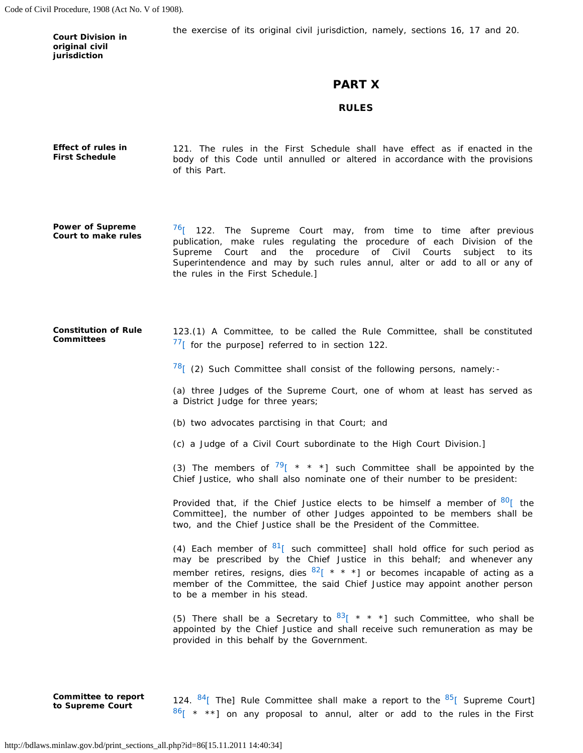Code of Civil Procedure, 1908 (Act No. V of 1908).

**Court Division in original civil jurisdiction** 

the exercise of its original civil jurisdiction, namely, sections 16, 17 and 20.

# PART X

### RULES

 121. The rules in the First Schedule shall have effect as if enacted in the body of this Code until annulled or altered in accordance with the provisions **Effect of rules in First Schedule**  of this Part.

 $76$ [ 122. The Supreme Court may, from time to time after previous Superintendence and may by such rules annul, alter or add to all or any of **Power of Supreme Court to make rules**  publication, make rules regulating the procedure of each Division of the Supreme Court and the procedure of Civil Courts subject to its the rules in the First Schedule.]

**Constitution of Rule Committees**  123.(1) A Committee, to be called the Rule Committee, shall be constituted  $77$ [ for the purpose] referred to in section 122.

 $\frac{78}{1}$  (2) Such Committee shall consist of the following persons, namely:

 (a) three Judges of the Supreme Court, one of whom at least has served as a District Judge for three years;

- (b) two advocates parctising in that Court; and
- (c) a Judge of a Civil Court subordinate to the High Court Division.]

(3) The members of  $\frac{79}{7}$  $\frac{79}{7}$  $\frac{79}{7}$  \* \* \*] such Committee shall be appointed by the Chief Justice, who shall also nominate one of their number to be president:

Provided that, if the Chief Justice elects to be himself a member of  $80^{\circ}$  the Committee], the number of other Judges appointed to be members shall be two, and the Chief Justice shall be the President of the Committee.

(4) Each member of  $8^1$ [ such committee] shall hold office for such period as may be prescribed by the Chief Justice in this behalf; and whenever any member retires, resigns, dies  $8^{2}$ [ \* \* \*] or becomes incapable of acting as a member of the Committee, the said Chief Justice may appoint another person to be a member in his stead.

(5) There shall be a Secretary to  $83$ <sup>[ \* \*</sup> \*] such Committee, who shall be appointed by the Chief Justice and shall receive such remuneration as may be provided in this behalf by the Government.

124.  $84$ [ The] Rule Committee shall make a report to the  $85$ [ Supreme Court] **Committee to report 124.**  $84$ [ The] Rule Committee shall make a report to the  $85$ [ Supreme Court] **to Supreme Court**  $86$ [ \* \*\*] on any proposal to annul, alter or add to the rules in the First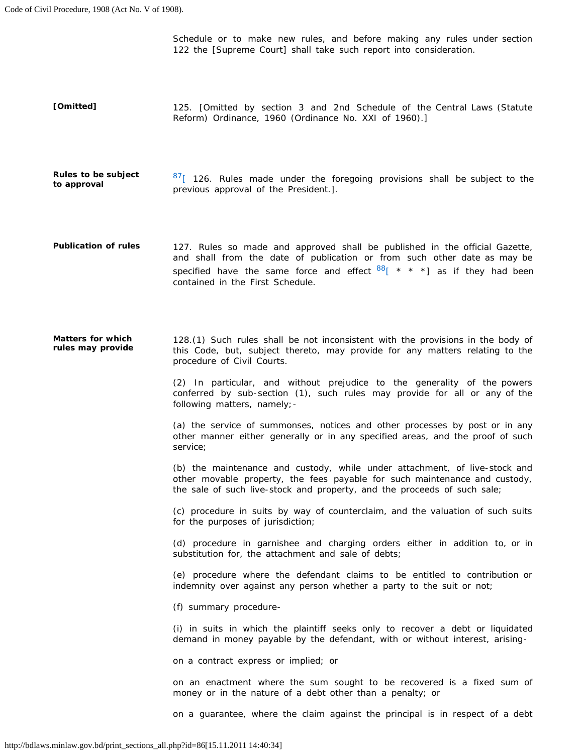Schedule or to make new rules, and before making any rules under section 122 the [Supreme Court] shall take such report into consideration.

 **[Omitted]** 125. [Omitted by section 3 and 2nd Schedule of the Central Laws (Statute Reform) Ordinance, 1960 (Ordinance No. XXI of 1960).]

**Rules to be subject** a  $\frac{87}{5}$  126. Rules made under the foregoing provisions shall be subject to the **to approval comproval** of the President.].

 **Publication of rules** 127. Rules so made and approved shall be published in the official Gazette, and shall from the date of publication or from such other date as may be specified have the same force and effect  $88$ <sup>[ \*</sup> \* \*] as if they had been contained in the First Schedule.

 **Matters for which** 128.(1) Such rules shall be not inconsistent with the provisions in the body of **rules may provide** this Code, but, subject thereto, may provide for any matters relating to the procedure of Civil Courts.

> (2) In particular, and without prejudice to the generality of the powers conferred by sub-section (1), such rules may provide for all or any of the following matters, namely;-

> (a) the service of summonses, notices and other processes by post or in any other manner either generally or in any specified areas, and the proof of such service;

> (b) the maintenance and custody, while under attachment, of live-stock and other movable property, the fees payable for such maintenance and custody, the sale of such live-stock and property, and the proceeds of such sale;

> (c) procedure in suits by way of counterclaim, and the valuation of such suits for the purposes of jurisdiction;

> (d) procedure in garnishee and charging orders either in addition to, or in substitution for, the attachment and sale of debts;

> (e) procedure where the defendant claims to be entitled to contribution or indemnity over against any person whether a party to the suit or not;

(f) summary procedure

(i) in suits in which the plaintiff seeks only to recover a debt or liquidated demand in money payable by the defendant, with or without interest, arising-

on a contract express or implied; or

on an enactment where the sum sought to be recovered is a fixed sum of money or in the nature of a debt other than a penalty; or

on a guarantee, where the claim against the principal is in respect of a debt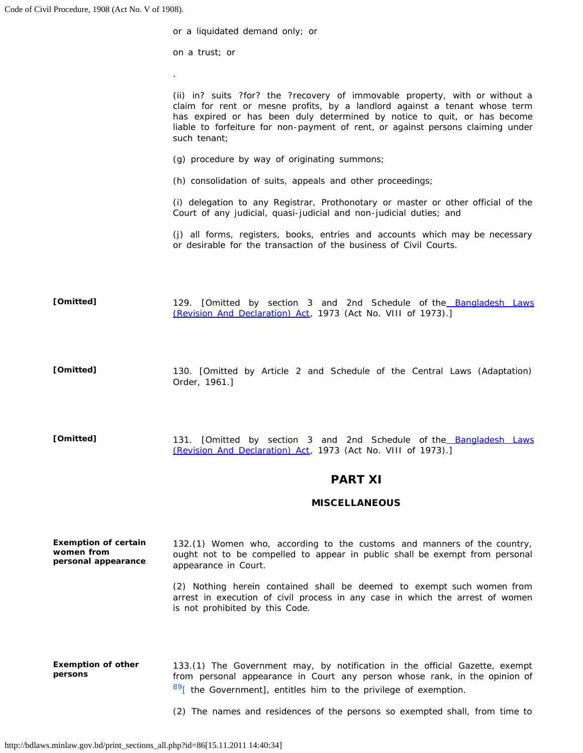|           | or a liquidated demand only; or                                                                                                                                                                                                                                                                                                          |
|-----------|------------------------------------------------------------------------------------------------------------------------------------------------------------------------------------------------------------------------------------------------------------------------------------------------------------------------------------------|
|           | on a trust; or                                                                                                                                                                                                                                                                                                                           |
|           | $\blacksquare$                                                                                                                                                                                                                                                                                                                           |
|           | (ii) in? suits ?for? the ?recovery of immovable property, with or without a<br>claim for rent or mesne profits, by a landlord against a tenant whose term<br>has expired or has been duly determined by notice to quit, or has become<br>liable to forfeiture for non-payment of rent, or against persons claiming under<br>such tenant; |
|           | (g) procedure by way of originating summons;                                                                                                                                                                                                                                                                                             |
|           | (h) consolidation of suits, appeals and other proceedings;                                                                                                                                                                                                                                                                               |
|           | (i) delegation to any Registrar, Prothonotary or master or other official of the<br>Court of any judicial, quasi-judicial and non-judicial duties; and                                                                                                                                                                                   |
|           | (j) all forms, registers, books, entries and accounts which may be necessary<br>or desirable for the transaction of the business of Civil Courts.                                                                                                                                                                                        |
| [Omitted] | 129. [Omitted by section 3 and 2nd Schedule of the Bangladesh Laws<br>(Revision And Declaration) Act, 1973 (Act No. VIII of 1973).]                                                                                                                                                                                                      |

- **[Omitted]** 130. [Omitted by Article 2 and Schedule of the Central Laws (Adaptation) Order, 1961.]
- **[Omitted]** 131. [Omitted by section 3 and 2nd Schedule of the Bangladesh Laws [\(Revision And Declaration\) Act,](http://bdlaws.minlaw.gov.bd/pdf_part.php?id=430) 1973 (Act No. VIII of 1973).]

# PART XI

## **MISCELLANEOUS**

| <b>Exemption of certain</b><br>women from<br>personal appearance | 132.(1) Women who, according to the customs and manners of the country,<br>ought not to be compelled to appear in public shall be exempt from personal<br>appearance in Court.                                                   |
|------------------------------------------------------------------|----------------------------------------------------------------------------------------------------------------------------------------------------------------------------------------------------------------------------------|
|                                                                  | (2) Nothing herein contained shall be deemed to exempt such women from<br>arrest in execution of civil process in any case in which the arrest of women<br>is not prohibited by this Code.                                       |
| <b>Exemption of other</b><br>persons                             | 133.(1) The Government may, by notification in the official Gazette, exempt<br>from personal appearance in Court any person whose rank, in the opinion of<br>$89$ [ the Government], entitles him to the privilege of exemption. |
|                                                                  | (2) The names and residences of the persons so exempted shall, from time to                                                                                                                                                      |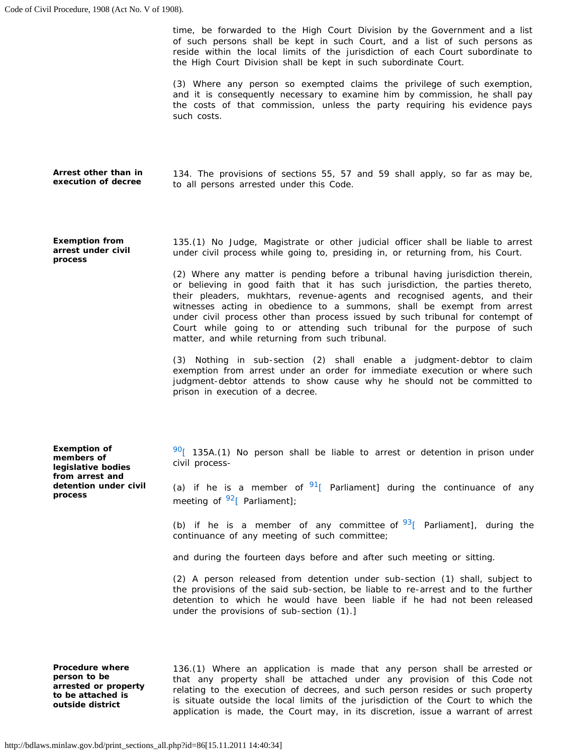time, be forwarded to the High Court Division by the Government and a list reside within the local limits of the jurisdiction of each Court subordinate to of such persons shall be kept in such Court, and a list of such persons as the High Court Division shall be kept in such subordinate Court.

 (3) Where any person so exempted claims the privilege of such exemption, and it is consequently necessary to examine him by commission, he shall pay the costs of that commission, unless the party requiring his evidence pays such costs.

 134. The provisions of sections 55, 57 and 59 shall apply, so far as may be, **Arrest other than in execution of decree**  to all persons arrested under this Code.

**Exemption from arrest under civil process** 

 135.(1) No Judge, Magistrate or other judicial officer shall be liable to arrest under civil process while going to, presiding in, or returning from, his Court.

 (2) Where any matter is pending before a tribunal having jurisdiction therein, or believing in good faith that it has such jurisdiction, the parties thereto, their pleaders, mukhtars, revenue-agents and recognised agents, and their under civil process other than process issued by such tribunal for contempt of Court while going to or attending such tribunal for the purpose of such witnesses acting in obedience to a summons, shall be exempt from arrest matter, and while returning from such tribunal.

 (3) Nothing in sub-section (2) shall enable a judgment-debtor to claim exemption from arrest under an order for immediate execution or where such judgment-debtor attends to show cause why he should not be committed to prison in execution of a decree.

**Exemption of members of legislative bodies from arrest and detention under civil process** 

 $90$ [ 135A.(1) No person shall be liable to arrest or detention in prison under civil process-

(a) if he is a member of  $91$  Parliament] during the continuance of any meeting of  $92$ [ Parliament];

(b) if he is a member of any committee of  $93$ [ Parliament], during the continuance of any meeting of such committee;

and during the fourteen days before and after such meeting or sitting.

 (2) A person released from detention under sub-section (1) shall, subject to detention to which he would have been liable if he had not been released the provisions of the said sub-section, be liable to re-arrest and to the further under the provisions of sub-section (1).]

 **Procedure where** 136.(1) Where an application is made that any person shall be arrested or that any property shall be attached under any provision of this Code not is situate outside the local limits of the jurisdiction of the Court to which the application is made, the Court may, in its discretion, issue a warrant of arrest person to be that any property shall be attached under any provision of this Code not relating to the execution of decrees, and such person resides or such property to be attached is situate outside the local limits of the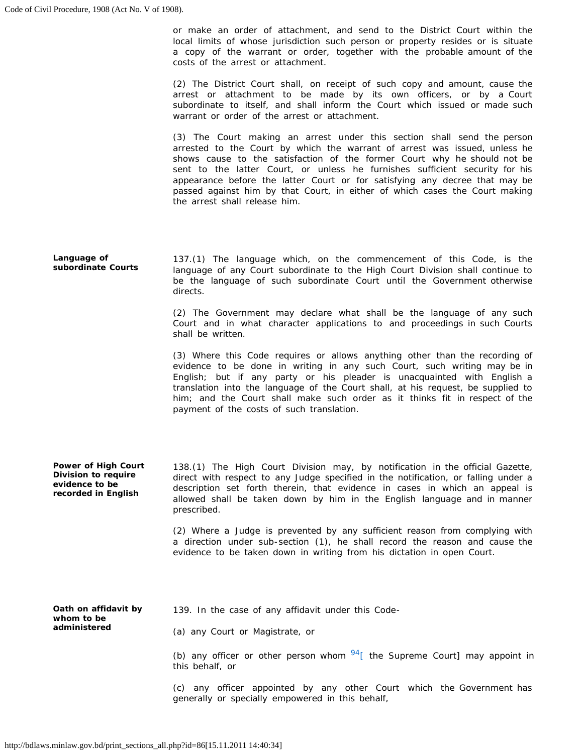local limits of whose jurisdiction such person or property resides or is situate a copy of the warrant or order, together with the probable amount of the or make an order of attachment, and send to the District Court within the costs of the arrest or attachment.

 (2) The District Court shall, on receipt of such copy and amount, cause the subordinate to itself, and shall inform the Court which issued or made such arrest or attachment to be made by its own officers, or by a Court warrant or order of the arrest or attachment.

 (3) The Court making an arrest under this section shall send the person arrested to the Court by which the warrant of arrest was issued, unless he shows cause to the satisfaction of the former Court why he should not be sent to the latter Court, or unless he furnishes sufficient security for his appearance before the latter Court or for satisfying any decree that may be passed against him by that Court, in either of which cases the Court making the arrest shall release him.

 137.(1) The language which, on the commencement of this Code, is the **Language of subordinate Courts**  language of any Court subordinate to the High Court Division shall continue to be the language of such subordinate Court until the Government otherwise directs.

> Court and in what character applications to and proceedings in such Courts (2) The Government may declare what shall be the language of any such shall be written.

> (3) Where this Code requires or allows anything other than the recording of evidence to be done in writing in any such Court, such writing may be in translation into the language of the Court shall, at his request, be supplied to him; and the Court shall make such order as it thinks fit in respect of the English; but if any party or his pleader is unacquainted with English a payment of the costs of such translation.

 138.(1) The High Court Division may, by notification in the official Gazette, allowed shall be taken down by him in the English language and in manner **Power of High Court Division to require evidence to be recorded in English**  direct with respect to any Judge specified in the notification, or falling under a description set forth therein, that evidence in cases in which an appeal is prescribed.

> (2) Where a Judge is prevented by any sufficient reason from complying with a direction under sub-section (1), he shall record the reason and cause the evidence to be taken down in writing from his dictation in open Court.

**Oath on affidavit by whom to be administered**  139. In the case of any affidavit under this Code (a) any Court or Magistrate, or

> (b) any officer or other person whom  $94$ [ the Supreme Court] may appoint in this behalf, or

> (c) any officer appointed by any other Court which the Government has generally or specially empowered in this behalf,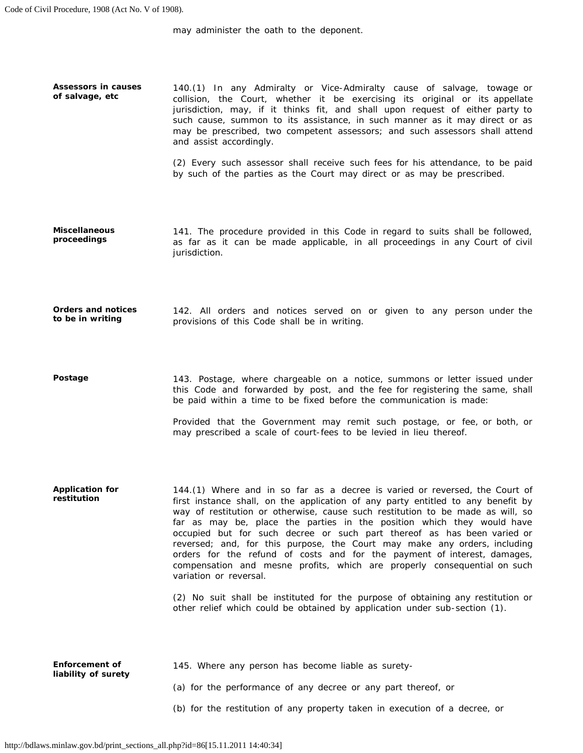may administer the oath to the deponent.

 collision, the Court, whether it be exercising its original or its appellate jurisdiction, may, if it thinks fit, and shall upon request of either party to such cause, summon to its assistance, in such manner as it may direct or as may be prescribed, two competent assessors; and such assessors shall attend **Assessors in causes of salvage, etc**  140.(1) In any Admiralty or Vice-Admiralty cause of salvage, towage or and assist accordingly.

> (2) Every such assessor shall receive such fees for his attendance, to be paid by such of the parties as the Court may direct or as may be prescribed.

 141. The procedure provided in this Code in regard to suits shall be followed, as far as it can be made applicable, in all proceedings in any Court of civil **Miscellaneous proceedings**  jurisdiction.

 142. All orders and notices served on or given to any person under the **Orders and notices to be in writing**  provisions of this Code shall be in writing.

 143. Postage, where chargeable on a notice, summons or letter issued under this Code and forwarded by post, and the fee for registering the same, shall **Postage**  be paid within a time to be fixed before the communication is made:

> Provided that the Government may remit such postage, or fee, or both, or may prescribed a scale of court-fees to be levied in lieu thereof.

 144.(1) Where and in so far as a decree is varied or reversed, the Court of first instance shall, on the application of any party entitled to any benefit by way of restitution or otherwise, cause such restitution to be made as will, so far as may be, place the parties in the position which they would have occupied but for such decree or such part thereof as has been varied or reversed; and, for this purpose, the Court may make any orders, including orders for the refund of costs and for the payment of interest, damages, compensation and mesne profits, which are properly consequential on such **Application for restitution**  variation or reversal.

> (2) No suit shall be instituted for the purpose of obtaining any restitution or other relief which could be obtained by application under sub-section (1).

| <b>Enforcement of</b><br>liability of surety | 145. Where any person has become liable as surety-                         |
|----------------------------------------------|----------------------------------------------------------------------------|
|                                              | (a) for the performance of any decree or any part thereof, or              |
|                                              | (b) for the restitution of any property taken in execution of a decree, or |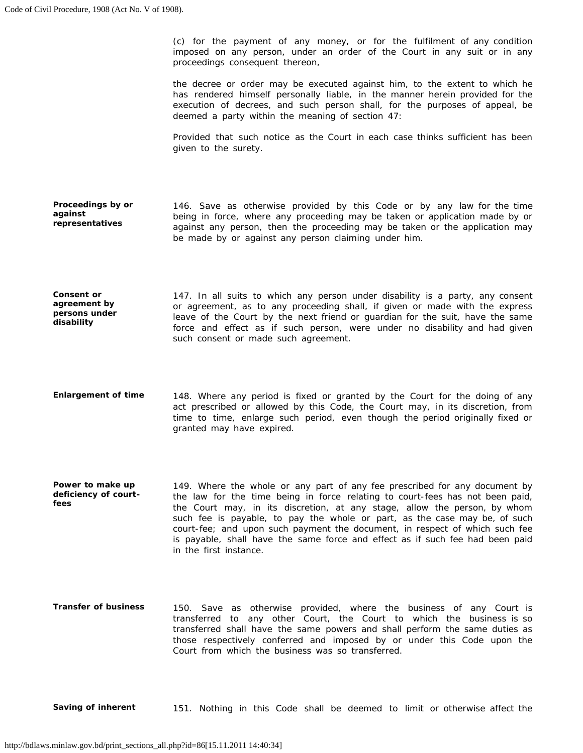(c) for the payment of any money, or for the fulfilment of any condition imposed on any person, under an order of the Court in any suit or in any proceedings consequent thereon,

 the decree or order may be executed against him, to the extent to which he has rendered himself personally liable, in the manner herein provided for the execution of decrees, and such person shall, for the purposes of appeal, be deemed a party within the meaning of section 47:

 Provided that such notice as the Court in each case thinks sufficient has been given to the surety.

- 146. Save as otherwise provided by this Code or by any law for the time being in force, where any proceeding may be taken or application made by or against any person, then the proceeding may be taken or the application may **Proceedings by or against representatives**  be made by or against any person claiming under him.
- 147. In all suits to which any person under disability is a party, any consent or agreement, as to any proceeding shall, if given or made with the express leave of the Court by the next friend or guardian for the suit, have the same force and effect as if such person, were under no disability and had given **Consent or agreement by persons under disability**  such consent or made such agreement.
- 148. Where any period is fixed or granted by the Court for the doing of any act prescribed or allowed by this Code, the Court may, in its discretion, from time to time, enlarge such period, even though the period originally fixed or **Enlargement of time**  granted may have expired.
- 149. Where the whole or any part of any fee prescribed for any document by the law for the time being in force relating to court-fees has not been paid, the Court may, in its discretion, at any stage, allow the person, by whom such fee is payable, to pay the whole or part, as the case may be, of such court-fee; and upon such payment the document, in respect of which such fee is payable, shall have the same force and effect as if such fee had been paid **Power to make up deficiency of courtfees**  in the first instance.
- transferred to any other Court, the Court to which the business is so transferred shall have the same powers and shall perform the same duties as **Transfer of business**  150. Save as otherwise provided, where the business of any Court is those respectively conferred and imposed by or under this Code upon the Court from which the business was so transferred.

**Saving of inherent** 151. Nothing in this Code shall be deemed to limit or otherwise affect the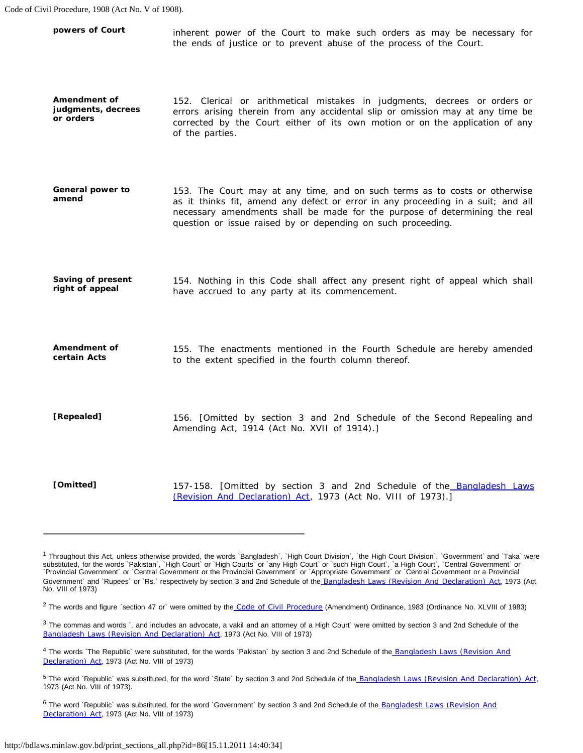| powers of Court                                 | inherent power of the Court to make such orders as may be necessary for<br>the ends of justice or to prevent abuse of the process of the Court.                                                                                                                                                              |
|-------------------------------------------------|--------------------------------------------------------------------------------------------------------------------------------------------------------------------------------------------------------------------------------------------------------------------------------------------------------------|
| Amendment of<br>judgments, decrees<br>or orders | 152. Clerical or arithmetical mistakes in judgments, decrees or orders or<br>errors arising therein from any accidental slip or omission may at any time be<br>corrected by the Court either of its own motion or on the application of any<br>of the parties.                                               |
| General power to<br>amend                       | 153. The Court may at any time, and on such terms as to costs or otherwise<br>as it thinks fit, amend any defect or error in any proceeding in a suit; and all<br>necessary amendments shall be made for the purpose of determining the real<br>question or issue raised by or depending on such proceeding. |
| Saving of present<br>right of appeal            | 154. Nothing in this Code shall affect any present right of appeal which shall<br>have accrued to any party at its commencement.                                                                                                                                                                             |
| Amendment of<br>certain Acts                    | 155. The enactments mentioned in the Fourth Schedule are hereby amended<br>to the extent specified in the fourth column thereof.                                                                                                                                                                             |
| [Repealed]                                      | 156. [Omitted by section 3 and 2nd Schedule of the Second Repealing and<br>Amending Act, 1914 (Act No. XVII of 1914).]                                                                                                                                                                                       |
| [Omitted]                                       | 157-158. [Omitted by section 3 and 2nd Schedule of the Bangladesh Laws<br>(Revision And Declaration) Act, 1973 (Act No. VIII of 1973).]                                                                                                                                                                      |

<sup>&</sup>lt;sup>1</sup> Throughout this Act, unless otherwise provided, the words `Bangladesh`, `High Court Division`, `the High Court Division`, `Government` and `Taka` were substituted, for the words `Pakistan`, `High Court` or `High Courts` or `any High Court` or `such High Court`, `a High Court`, `Central Government` or `Provincial Government` or `Central Government or the Provincial Government` or `Appropriate Government` or `Central Government or a Provincial Government` and `Rupees` or `Rs.` respectively by section 3 and 2nd Schedule of the [Bangladesh Laws \(Revision And Declaration\) Act](http://bdlaws.minlaw.gov.bd/pdf_part.php?id=430), 1973 (Act No. VIII of 1973)

<sup>&</sup>lt;sup>2</sup> The words and figure `section 47 or` were omitted by the [Code of Civil Procedure](http://bdlaws.minlaw.gov.bd/pdf_part.php?id=86) (Amendment) Ordinance, 1983 (Ordinance No. XLVIII of 1983)

 $3$  The commas and words `, and includes an advocate, a vakil and an attorney of a High Court` were omitted by section 3 and 2nd Schedule of the [Bangladesh Laws \(Revision And Declaration\) Act](http://bdlaws.minlaw.gov.bd/pdf_part.php?id=430), 1973 (Act No. VIII of 1973)

<sup>&</sup>lt;sup>4</sup> The words `The Republic` were substituted, for the words `Pakistan` by section 3 and 2nd Schedule of the Bangladesh Laws (Revision And [Declaration\) Act](http://bdlaws.minlaw.gov.bd/pdf_part.php?id=430), 1973 (Act No. VIII of 1973)

<sup>&</sup>lt;sup>5</sup> The word `Republic` was substituted, for the word `State` by section 3 and 2nd Schedule of the [Bangladesh Laws \(Revision And Declaration\) Act](http://bdlaws.minlaw.gov.bd/pdf_part.php?id=430), 1973 (Act No. VIII of 1973).

<sup>&</sup>lt;sup>6</sup> The word `Republic` was substituted, for the word `Government` by section 3 and 2nd Schedule of the Bangladesh Laws (Revision And [Declaration\) Act](http://bdlaws.minlaw.gov.bd/pdf_part.php?id=430), 1973 (Act No. VIII of 1973)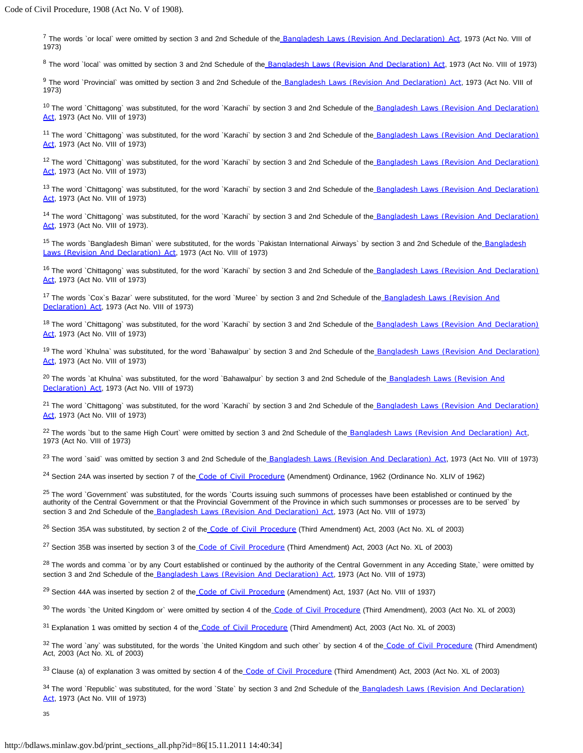<sup>7</sup> The words `or local` were omitted by section 3 and 2nd Schedule of the [Bangladesh Laws \(Revision And Declaration\) Act](http://bdlaws.minlaw.gov.bd/pdf_part.php?id=430), 1973 (Act No. VIII of 1973)

8 The word `local` was omitted by section 3 and 2nd Schedule of the [Bangladesh Laws \(Revision And Declaration\) Act](http://bdlaws.minlaw.gov.bd/pdf_part.php?id=430), 1973 (Act No. VIII of 1973)

9 The word `Provincial` was omitted by section 3 and 2nd Schedule of the [Bangladesh Laws \(Revision And Declaration\) Act](http://bdlaws.minlaw.gov.bd/pdf_part.php?id=430), 1973 (Act No. VIII of 1973)

<sup>10</sup> The word `Chittagong` was substituted, for the word `Karachi` by section 3 and 2nd Schedule of the [Bangladesh Laws \(Revision And Declaration\)](http://bdlaws.minlaw.gov.bd/pdf_part.php?id=430) [Act](http://bdlaws.minlaw.gov.bd/pdf_part.php?id=430), 1973 (Act No. VIII of 1973)

<sup>11</sup> The word `Chittagong` was substituted, for the word `Karachi` by section 3 and 2nd Schedule of the [Bangladesh Laws \(Revision And Declaration\)](http://bdlaws.minlaw.gov.bd/pdf_part.php?id=430) [Act](http://bdlaws.minlaw.gov.bd/pdf_part.php?id=430), 1973 (Act No. VIII of 1973)

<sup>12</sup> The word `Chittagong` was substituted, for the word `Karachi` by section 3 and 2nd Schedule of the [Bangladesh Laws \(Revision And Declaration\)](http://bdlaws.minlaw.gov.bd/pdf_part.php?id=430) [Act](http://bdlaws.minlaw.gov.bd/pdf_part.php?id=430), 1973 (Act No. VIII of 1973)

<sup>13</sup> The word `Chittagong` was substituted, for the word `Karachi` by section 3 and 2nd Schedule of the [Bangladesh Laws \(Revision And Declaration\)](http://bdlaws.minlaw.gov.bd/pdf_part.php?id=430) [Act](http://bdlaws.minlaw.gov.bd/pdf_part.php?id=430), 1973 (Act No. VIII of 1973)

<sup>14</sup> The word `Chittagong` was substituted, for the word `Karachi` by section 3 and 2nd Schedule of the [Bangladesh Laws \(Revision And Declaration\)](http://bdlaws.minlaw.gov.bd/pdf_part.php?id=430) [Act](http://bdlaws.minlaw.gov.bd/pdf_part.php?id=430), 1973 (Act No. VIII of 1973).

<sup>15</sup> The words `Bangladesh Biman` were substituted, for the words `Pakistan International Airways` by section 3 and 2nd Schedule of the [Bangladesh](http://bdlaws.minlaw.gov.bd/pdf_part.php?id=430) [Laws \(Revision And Declaration\) Act](http://bdlaws.minlaw.gov.bd/pdf_part.php?id=430), 1973 (Act No. VIII of 1973)

<sup>16</sup> The word `Chittagong` was substituted, for the word `Karachi` by section 3 and 2nd Schedule of the [Bangladesh Laws \(Revision And Declaration\)](http://bdlaws.minlaw.gov.bd/pdf_part.php?id=430) [Act](http://bdlaws.minlaw.gov.bd/pdf_part.php?id=430), 1973 (Act No. VIII of 1973)

<sup>17</sup> The words `Cox`s Bazar` were substituted, for the word `Muree` by section 3 and 2nd Schedule of the [Bangladesh Laws \(Revision And](http://bdlaws.minlaw.gov.bd/pdf_part.php?id=430) [Declaration\) Act](http://bdlaws.minlaw.gov.bd/pdf_part.php?id=430), 1973 (Act No. VIII of 1973)

<sup>18</sup> The word `Chittagong` was substituted, for the word `Karachi` by section 3 and 2nd Schedule of the [Bangladesh Laws \(Revision And Declaration\)](http://bdlaws.minlaw.gov.bd/pdf_part.php?id=430) [Act](http://bdlaws.minlaw.gov.bd/pdf_part.php?id=430), 1973 (Act No. VIII of 1973)

<sup>19</sup> The word `Khulna` was substituted, for the word `Bahawalpur` by section 3 and 2nd Schedule of the [Bangladesh Laws \(Revision And Declaration\)](http://bdlaws.minlaw.gov.bd/pdf_part.php?id=430) [Act](http://bdlaws.minlaw.gov.bd/pdf_part.php?id=430), 1973 (Act No. VIII of 1973)

<sup>20</sup> The words `at Khulna` was substituted, for the word `Bahawalpur` by section 3 and 2nd Schedule of the [Bangladesh Laws \(Revision And](http://bdlaws.minlaw.gov.bd/pdf_part.php?id=430) [Declaration\) Act](http://bdlaws.minlaw.gov.bd/pdf_part.php?id=430), 1973 (Act No. VIII of 1973)

<sup>21</sup> The word `Chittagong` was substituted, for the word `Karachi` by section 3 and 2nd Schedule of the [Bangladesh Laws \(Revision And Declaration\)](http://bdlaws.minlaw.gov.bd/pdf_part.php?id=430) [Act](http://bdlaws.minlaw.gov.bd/pdf_part.php?id=430), 1973 (Act No. VIII of 1973)

<sup>22</sup> The words `but to the same High Court` were omitted by section 3 and 2nd Schedule of the [Bangladesh Laws \(Revision And Declaration\) Act](http://bdlaws.minlaw.gov.bd/pdf_part.php?id=430), 1973 (Act No. VIII of 1973)

<sup>23</sup> The word `said` was omitted by section 3 and 2nd Schedule of the [Bangladesh Laws \(Revision And Declaration\) Act](http://bdlaws.minlaw.gov.bd/pdf_part.php?id=430), 1973 (Act No. VIII of 1973)

<sup>24</sup> Section 24A was inserted by section 7 of the [Code of Civil Procedure](http://bdlaws.minlaw.gov.bd/pdf_part.php?id=86) (Amendment) Ordinance, 1962 (Ordinance No. XLIV of 1962)

<sup>25</sup> The word `Government` was substituted, for the words `Courts issuing such summons of processes have been established or continued by the authority of the Central Government or that the Provincial Government of the Province in which such summonses or processes are to be served` by section 3 and 2nd Schedule of the [Bangladesh Laws \(Revision And Declaration\) Act](http://bdlaws.minlaw.gov.bd/pdf_part.php?id=430), 1973 (Act No. VIII of 1973)

<sup>26</sup> Section 35A was substituted, by section 2 of the [Code of Civil Procedure](http://bdlaws.minlaw.gov.bd/pdf_part.php?id=86) (Third Amendment) Act, 2003 (Act No. XL of 2003)

<sup>27</sup> Section 35B was inserted by section 3 of the [Code of Civil Procedure](http://bdlaws.minlaw.gov.bd/pdf_part.php?id=86) (Third Amendment) Act, 2003 (Act No. XL of 2003)

<sup>28</sup> The words and comma `or by any Court established or continued by the authority of the Central Government in any Acceding State,` were omitted by section 3 and 2nd Schedule of the [Bangladesh Laws \(Revision And Declaration\) Act](http://bdlaws.minlaw.gov.bd/pdf_part.php?id=430), 1973 (Act No. VIII of 1973)

<sup>29</sup> Section 44A was inserted by section 2 of the [Code of Civil Procedure](http://bdlaws.minlaw.gov.bd/pdf_part.php?id=86) (Amendment) Act, 1937 (Act No. VIII of 1937)

<sup>30</sup> The words 'the United Kingdom or' were omitted by section 4 of the [Code of Civil Procedure](http://bdlaws.minlaw.gov.bd/pdf_part.php?id=86) (Third Amendment), 2003 (Act No. XL of 2003)

<sup>31</sup> Explanation 1 was omitted by section 4 of the [Code of Civil Procedure](http://bdlaws.minlaw.gov.bd/pdf_part.php?id=86) (Third Amendment) Act, 2003 (Act No. XL of 2003)

<sup>32</sup> The word `any` was substituted, for the words `the United Kingdom and such other` by section 4 of the [Code of Civil Procedure](http://bdlaws.minlaw.gov.bd/pdf_part.php?id=86) (Third Amendment) Act, 2003 (Act No. XL of 2003)

33 Clause (a) of explanation 3 was omitted by section 4 of the [Code of Civil Procedure](http://bdlaws.minlaw.gov.bd/pdf_part.php?id=86) (Third Amendment) Act, 2003 (Act No. XL of 2003)

<sup>34</sup> The word `Republic` was substituted, for the word `State` by section 3 and 2nd Schedule of the [Bangladesh Laws \(Revision And Declaration\)](http://bdlaws.minlaw.gov.bd/pdf_part.php?id=430) [Act](http://bdlaws.minlaw.gov.bd/pdf_part.php?id=430), 1973 (Act No. VIII of 1973)

35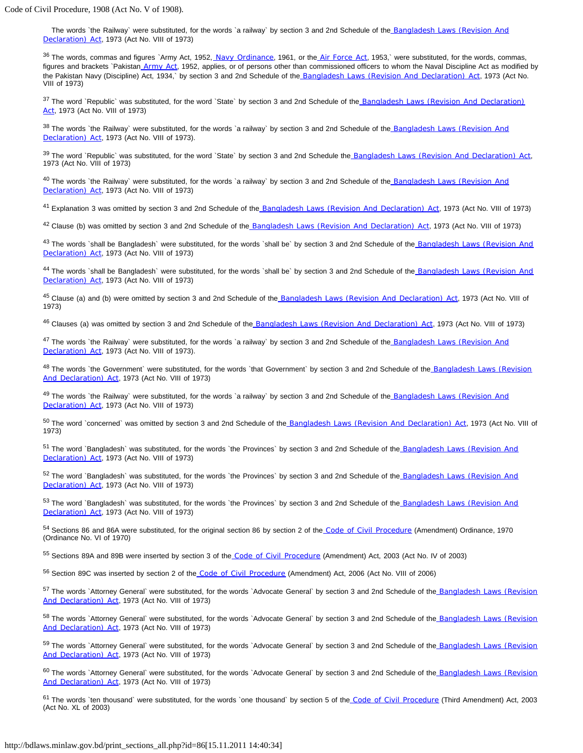The words 'the Railway' were substituted, for the words 'a railway' by section 3 and 2nd Schedule of the Bangladesh Laws (Revision And [Declaration\) Act](http://bdlaws.minlaw.gov.bd/pdf_part.php?id=430), 1973 (Act No. VIII of 1973)

36 The words, commas and figures `Army Act, 1952, [Navy Ordinance](http://bdlaws.minlaw.gov.bd/pdf_part.php?id=310), 1961, or the [Air Force Act](http://bdlaws.minlaw.gov.bd/pdf_part.php?id=256), 1953,` were substituted, for the words, commas, figures and brackets `Pakistan [Army Act](http://bdlaws.minlaw.gov.bd/pdf_part.php?id=248), 1952, applies, or of persons other than commissioned officers to whom the Naval Discipline Act as modified by the Pakistan Navy (Discipline) Act, 1934,` by section 3 and 2nd Schedule of the [Bangladesh Laws \(Revision And Declaration\) Act](http://bdlaws.minlaw.gov.bd/pdf_part.php?id=430), 1973 (Act No. VIII of 1973)

<sup>37</sup> The word `Republic` was substituted, for the word `State` by section 3 and 2nd Schedule of the Bangladesh Laws (Revision And Declaration) [Act](http://bdlaws.minlaw.gov.bd/pdf_part.php?id=430), 1973 (Act No. VIII of 1973)

<sup>38</sup> The words `the Railway` were substituted, for the words `a railway` by section 3 and 2nd Schedule of the Bangladesh Laws (Revision And [Declaration\) Act](http://bdlaws.minlaw.gov.bd/pdf_part.php?id=430), 1973 (Act No. VIII of 1973).

<sup>39</sup> The word `Republic` was substituted, for the word `State` by section 3 and 2nd Schedule the [Bangladesh Laws \(Revision And Declaration\) Act](http://bdlaws.minlaw.gov.bd/pdf_part.php?id=430), 1973 (Act No. VIII of 1973)

<sup>40</sup> The words `the Railway` were substituted, for the words `a railway` by section 3 and 2nd Schedule of the Bangladesh Laws (Revision And [Declaration\) Act](http://bdlaws.minlaw.gov.bd/pdf_part.php?id=430), 1973 (Act No. VIII of 1973)

<sup>41</sup> Explanation 3 was omitted by section 3 and 2nd Schedule of the [Bangladesh Laws \(Revision And Declaration\) Act](http://bdlaws.minlaw.gov.bd/pdf_part.php?id=430), 1973 (Act No. VIII of 1973)

<sup>42</sup> Clause (b) was omitted by section 3 and 2nd Schedule of the [Bangladesh Laws \(Revision And Declaration\) Act](http://bdlaws.minlaw.gov.bd/pdf_part.php?id=430), 1973 (Act No. VIII of 1973)

<sup>43</sup> The words `shall be Bangladesh` were substituted, for the words `shall be` by section 3 and 2nd Schedule of the Bangladesh Laws (Revision And [Declaration\) Act](http://bdlaws.minlaw.gov.bd/pdf_part.php?id=430), 1973 (Act No. VIII of 1973)

<sup>44</sup> The words `shall be Bangladesh` were substituted, for the words `shall be` by section 3 and 2nd Schedule of the Bangladesh Laws (Revision And [Declaration\) Act](http://bdlaws.minlaw.gov.bd/pdf_part.php?id=430), 1973 (Act No. VIII of 1973)

<sup>45</sup> Clause (a) and (b) were omitted by section 3 and 2nd Schedule of the [Bangladesh Laws \(Revision And Declaration\) Act](http://bdlaws.minlaw.gov.bd/pdf_part.php?id=430), 1973 (Act No. VIII of 1973)

<sup>46</sup> Clauses (a) was omitted by section 3 and 2nd Schedule of the [Bangladesh Laws \(Revision And Declaration\) Act](http://bdlaws.minlaw.gov.bd/pdf_part.php?id=430), 1973 (Act No. VIII of 1973)

<sup>47</sup> The words `the Railway` were substituted, for the words `a railway` by section 3 and 2nd Schedule of the Bangladesh Laws (Revision And [Declaration\) Act](http://bdlaws.minlaw.gov.bd/pdf_part.php?id=430), 1973 (Act No. VIII of 1973).

<sup>48</sup> The words 'the Government' were substituted, for the words 'that Government' by section 3 and 2nd Schedule of the Bangladesh Laws (Revision [And Declaration\) Act](http://bdlaws.minlaw.gov.bd/pdf_part.php?id=430), 1973 (Act No. VIII of 1973)

<sup>49</sup> The words `the Railway` were substituted, for the words `a railway` by section 3 and 2nd Schedule of the Bangladesh Laws (Revision And [Declaration\) Act](http://bdlaws.minlaw.gov.bd/pdf_part.php?id=430), 1973 (Act No. VIII of 1973)

50 The word `concerned` was omitted by section 3 and 2nd Schedule of the [Bangladesh Laws \(Revision And Declaration\) Act](http://bdlaws.minlaw.gov.bd/pdf_part.php?id=430), 1973 (Act No. VIII of 1973)

<sup>51</sup> The word `Bangladesh` was substituted, for the words `the Provinces` by section 3 and 2nd Schedule of the Bangladesh Laws (Revision And [Declaration\) Act](http://bdlaws.minlaw.gov.bd/pdf_part.php?id=430), 1973 (Act No. VIII of 1973)

52 The word `Bangladesh` was substituted, for the words `the Provinces` by section 3 and 2nd Schedule of the Bangladesh Laws (Revision And [Declaration\) Act](http://bdlaws.minlaw.gov.bd/pdf_part.php?id=430), 1973 (Act No. VIII of 1973)

53 The word `Bangladesh` was substituted, for the words `the Provinces` by section 3 and 2nd Schedule of the Bangladesh Laws (Revision And [Declaration\) Act](http://bdlaws.minlaw.gov.bd/pdf_part.php?id=430), 1973 (Act No. VIII of 1973)

54 Sections 86 and 86A were substituted, for the original section 86 by section 2 of the [Code of Civil Procedure](http://bdlaws.minlaw.gov.bd/pdf_part.php?id=86) (Amendment) Ordinance, 1970 (Ordinance No. VI of 1970)

55 Sections 89A and 89B were inserted by section 3 of the [Code of Civil Procedure](http://bdlaws.minlaw.gov.bd/pdf_part.php?id=86) (Amendment) Act, 2003 (Act No. IV of 2003)

56 Section 89C was inserted by section 2 of the [Code of Civil Procedure](http://bdlaws.minlaw.gov.bd/pdf_part.php?id=86) (Amendment) Act, 2006 (Act No. VIII of 2006)

57 The words `Attorney General` were substituted, for the words `Advocate General` by section 3 and 2nd Schedule of the Bangladesh Laws (Revision [And Declaration\) Act](http://bdlaws.minlaw.gov.bd/pdf_part.php?id=430), 1973 (Act No. VIII of 1973)

<sup>58</sup> The words `Attorney General` were substituted, for the words `Advocate General` by section 3 and 2nd Schedule of the Bangladesh Laws (Revision [And Declaration\) Act](http://bdlaws.minlaw.gov.bd/pdf_part.php?id=430), 1973 (Act No. VIII of 1973)

<sup>59</sup> The words `Attorney General` were substituted, for the words `Advocate General` by section 3 and 2nd Schedule of the Bangladesh Laws (Revision [And Declaration\) Act](http://bdlaws.minlaw.gov.bd/pdf_part.php?id=430), 1973 (Act No. VIII of 1973)

<sup>60</sup> The words `Attorney General` were substituted, for the words `Advocate General` by section 3 and 2nd Schedule of the Bangladesh Laws (Revision [And Declaration\) Act](http://bdlaws.minlaw.gov.bd/pdf_part.php?id=430), 1973 (Act No. VIII of 1973)

<sup>61</sup> The words 'ten thousand' were substituted, for the words 'one thousand' by section 5 of the [Code of Civil Procedure](http://bdlaws.minlaw.gov.bd/pdf_part.php?id=86) (Third Amendment) Act, 2003 (Act No. XL of 2003)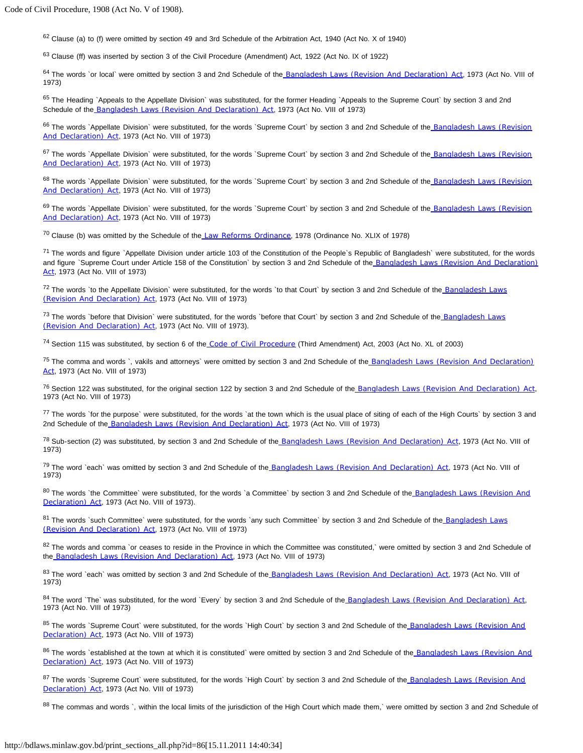$62$  Clause (a) to (f) were omitted by section 49 and 3rd Schedule of the Arbitration Act, 1940 (Act No. X of 1940)

63 Clause (ff) was inserted by section 3 of the Civil Procedure (Amendment) Act, 1922 (Act No. IX of 1922)

64 The words 'or local' were omitted by section 3 and 2nd Schedule of the [Bangladesh Laws \(Revision And Declaration\) Act](http://bdlaws.minlaw.gov.bd/pdf_part.php?id=430), 1973 (Act No. VIII of 1973)

65 The Heading `Appeals to the Appellate Division` was substituted, for the former Heading `Appeals to the Supreme Court` by section 3 and 2nd Schedule of the [Bangladesh Laws \(Revision And Declaration\) Act](http://bdlaws.minlaw.gov.bd/pdf_part.php?id=430), 1973 (Act No. VIII of 1973)

66 The words `Appellate Division` were substituted, for the words `Supreme Court` by section 3 and 2nd Schedule of the Bangladesh Laws (Revision [And Declaration\) Act](http://bdlaws.minlaw.gov.bd/pdf_part.php?id=430), 1973 (Act No. VIII of 1973)

67 The words `Appellate Division` were substituted, for the words `Supreme Court` by section 3 and 2nd Schedule of the Bangladesh Laws (Revision [And Declaration\) Act](http://bdlaws.minlaw.gov.bd/pdf_part.php?id=430), 1973 (Act No. VIII of 1973)

68 The words `Appellate Division` were substituted, for the words `Supreme Court` by section 3 and 2nd Schedule of the Bangladesh Laws (Revision [And Declaration\) Act](http://bdlaws.minlaw.gov.bd/pdf_part.php?id=430), 1973 (Act No. VIII of 1973)

69 The words `Appellate Division` were substituted, for the words `Supreme Court` by section 3 and 2nd Schedule of the Bangladesh Laws (Revision [And Declaration\) Act](http://bdlaws.minlaw.gov.bd/pdf_part.php?id=430), 1973 (Act No. VIII of 1973)

<sup>70</sup> Clause (b) was omitted by the Schedule of the [Law Reforms Ordinance](http://bdlaws.minlaw.gov.bd/pdf_part.php?id=579), 1978 (Ordinance No. XLIX of 1978)

<sup>71</sup> The words and figure `Appellate Division under article 103 of the Constitution of the People`s Republic of Bangladesh` were substituted, for the words and figure `Supreme Court under Article 158 of the Constitution` by section 3 and 2nd Schedule of the Bangladesh Laws (Revision And Declaration) [Act](http://bdlaws.minlaw.gov.bd/pdf_part.php?id=430), 1973 (Act No. VIII of 1973)

<sup>72</sup> The words 'to the Appellate Division' were substituted, for the words 'to that Court' by section 3 and 2nd Schedule of the Bangladesh Laws [\(Revision And Declaration\) Act](http://bdlaws.minlaw.gov.bd/pdf_part.php?id=430), 1973 (Act No. VIII of 1973)

<sup>73</sup> The words `before that Division` were substituted, for the words `before that Court` by section 3 and 2nd Schedule of the [Bangladesh Laws](http://bdlaws.minlaw.gov.bd/pdf_part.php?id=430) [\(Revision And Declaration\) Act](http://bdlaws.minlaw.gov.bd/pdf_part.php?id=430), 1973 (Act No. VIII of 1973).

<sup>74</sup> Section 115 was substituted, by section 6 of the [Code of Civil Procedure](http://bdlaws.minlaw.gov.bd/pdf_part.php?id=86) (Third Amendment) Act, 2003 (Act No. XL of 2003)

<sup>75</sup> The comma and words `, vakils and attorneys` were omitted by section 3 and 2nd Schedule of the **Bangladesh Laws (Revision And Declaration)** [Act](http://bdlaws.minlaw.gov.bd/pdf_part.php?id=430), 1973 (Act No. VIII of 1973)

<sup>76</sup> Section 122 was substituted, for the original section 122 by section 3 and 2nd Schedule of the [Bangladesh Laws \(Revision And Declaration\) Act](http://bdlaws.minlaw.gov.bd/pdf_part.php?id=430), 1973 (Act No. VIII of 1973)

<sup>77</sup> The words `for the purpose` were substituted, for the words `at the town which is the usual place of siting of each of the High Courts` by section 3 and 2nd Schedule of the [Bangladesh Laws \(Revision And Declaration\) Act](http://bdlaws.minlaw.gov.bd/pdf_part.php?id=430), 1973 (Act No. VIII of 1973)

<sup>78</sup> Sub-section (2) was substituted, by section 3 and 2nd Schedule of the [Bangladesh Laws \(Revision And Declaration\) Act](http://bdlaws.minlaw.gov.bd/pdf_part.php?id=430), 1973 (Act No. VIII of 1973)

<sup>79</sup> The word `each` was omitted by section 3 and 2nd Schedule of the [Bangladesh Laws \(Revision And Declaration\) Act](http://bdlaws.minlaw.gov.bd/pdf_part.php?id=430), 1973 (Act No. VIII of 1973)

80 The words `the Committee` were substituted, for the words `a Committee` by section 3 and 2nd Schedule of the Bangladesh Laws (Revision And [Declaration\) Act](http://bdlaws.minlaw.gov.bd/pdf_part.php?id=430), 1973 (Act No. VIII of 1973).

81 The words `such Committee` were substituted, for the words `any such Committee` by section 3 and 2nd Schedule of the [Bangladesh Laws](http://bdlaws.minlaw.gov.bd/pdf_part.php?id=430) [\(Revision And Declaration\) Act](http://bdlaws.minlaw.gov.bd/pdf_part.php?id=430), 1973 (Act No. VIII of 1973)

82 The words and comma `or ceases to reside in the Province in which the Committee was constituted,` were omitted by section 3 and 2nd Schedule of the [Bangladesh Laws \(Revision And Declaration\) Act](http://bdlaws.minlaw.gov.bd/pdf_part.php?id=430), 1973 (Act No. VIII of 1973)

83 The word `each` was omitted by section 3 and 2nd Schedule of the [Bangladesh Laws \(Revision And Declaration\) Act](http://bdlaws.minlaw.gov.bd/pdf_part.php?id=430), 1973 (Act No. VIII of 1973)

84 The word `The` was substituted, for the word `Every` by section 3 and 2nd Schedule of the [Bangladesh Laws \(Revision And Declaration\) Act](http://bdlaws.minlaw.gov.bd/pdf_part.php?id=430), 1973 (Act No. VIII of 1973)

85 The words `Supreme Court` were substituted, for the words `High Court` by section 3 and 2nd Schedule of the Bangladesh Laws (Revision And [Declaration\) Act](http://bdlaws.minlaw.gov.bd/pdf_part.php?id=430), 1973 (Act No. VIII of 1973)

86 The words `established at the town at which it is constituted` were omitted by section 3 and 2nd Schedule of the Bangladesh Laws (Revision And [Declaration\) Act](http://bdlaws.minlaw.gov.bd/pdf_part.php?id=430), 1973 (Act No. VIII of 1973)

87 The words `Supreme Court` were substituted, for the words `High Court` by section 3 and 2nd Schedule of the Bangladesh Laws (Revision And [Declaration\) Act](http://bdlaws.minlaw.gov.bd/pdf_part.php?id=430), 1973 (Act No. VIII of 1973)

88 The commas and words `, within the local limits of the jurisdiction of the High Court which made them,` were omitted by section 3 and 2nd Schedule of